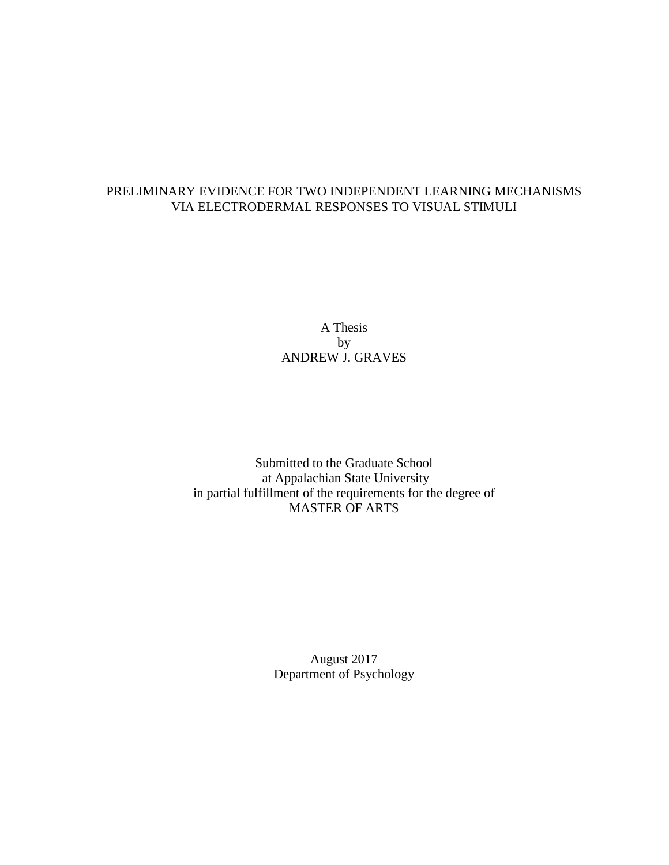### PRELIMINARY EVIDENCE FOR TWO INDEPENDENT LEARNING MECHANISMS VIA ELECTRODERMAL RESPONSES TO VISUAL STIMULI

A Thesis by ANDREW J. GRAVES

Submitted to the Graduate School at Appalachian State University in partial fulfillment of the requirements for the degree of MASTER OF ARTS

> August 2017 Department of Psychology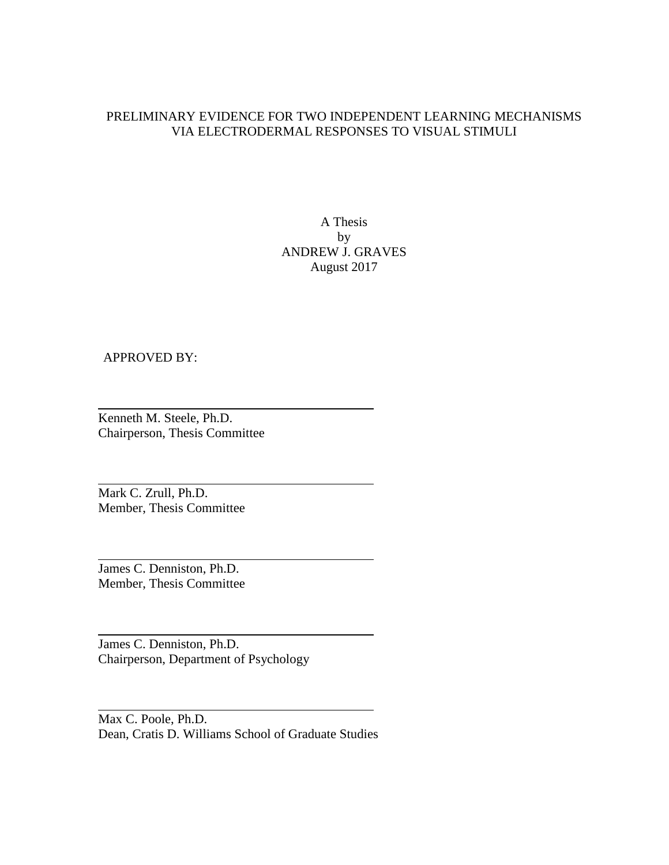### PRELIMINARY EVIDENCE FOR TWO INDEPENDENT LEARNING MECHANISMS VIA ELECTRODERMAL RESPONSES TO VISUAL STIMULI

A Thesis by ANDREW J. GRAVES August 2017

### APPROVED BY:

Kenneth M. Steele, Ph.D. Chairperson, Thesis Committee

Mark C. Zrull, Ph.D. Member, Thesis Committee

James C. Denniston, Ph.D. Member, Thesis Committee

James C. Denniston, Ph.D. Chairperson, Department of Psychology

Max C. Poole, Ph.D. Dean, Cratis D. Williams School of Graduate Studies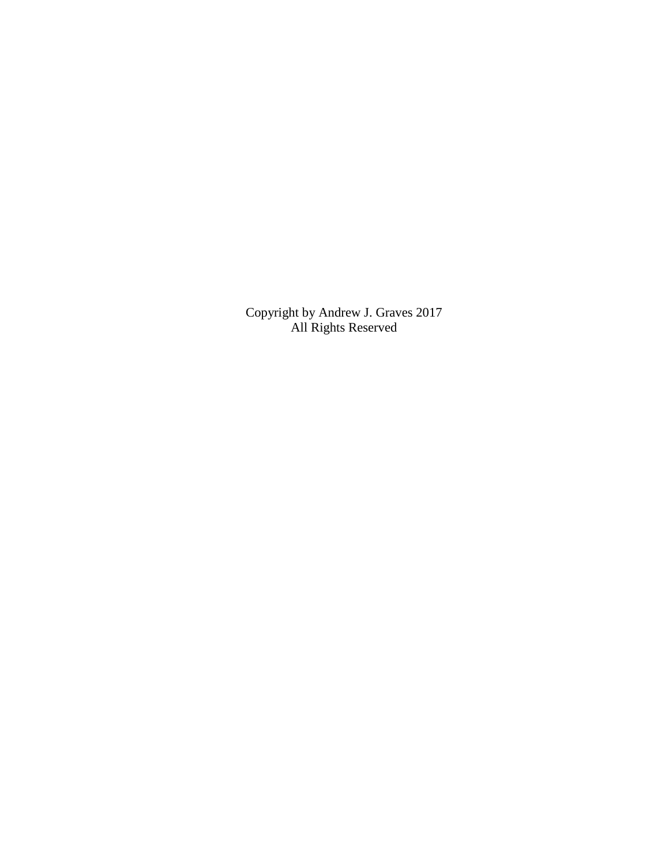Copyright by Andrew J. Graves 2017 All Rights Reserved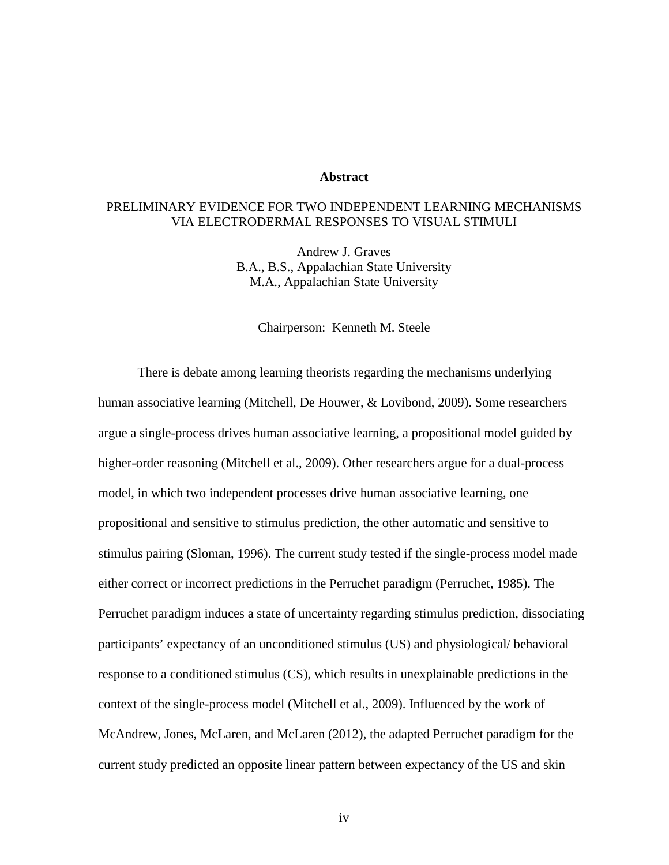#### **Abstract**

### PRELIMINARY EVIDENCE FOR TWO INDEPENDENT LEARNING MECHANISMS VIA ELECTRODERMAL RESPONSES TO VISUAL STIMULI

Andrew J. Graves B.A., B.S., Appalachian State University M.A., Appalachian State University

Chairperson: Kenneth M. Steele

There is debate among learning theorists regarding the mechanisms underlying human associative learning (Mitchell, De Houwer, & Lovibond, 2009). Some researchers argue a single-process drives human associative learning, a propositional model guided by higher-order reasoning (Mitchell et al., 2009). Other researchers argue for a dual-process model, in which two independent processes drive human associative learning, one propositional and sensitive to stimulus prediction, the other automatic and sensitive to stimulus pairing (Sloman, 1996). The current study tested if the single-process model made either correct or incorrect predictions in the Perruchet paradigm (Perruchet, 1985). The Perruchet paradigm induces a state of uncertainty regarding stimulus prediction, dissociating participants' expectancy of an unconditioned stimulus (US) and physiological/ behavioral response to a conditioned stimulus (CS), which results in unexplainable predictions in the context of the single-process model (Mitchell et al., 2009). Influenced by the work of McAndrew, Jones, McLaren, and McLaren (2012), the adapted Perruchet paradigm for the current study predicted an opposite linear pattern between expectancy of the US and skin

iv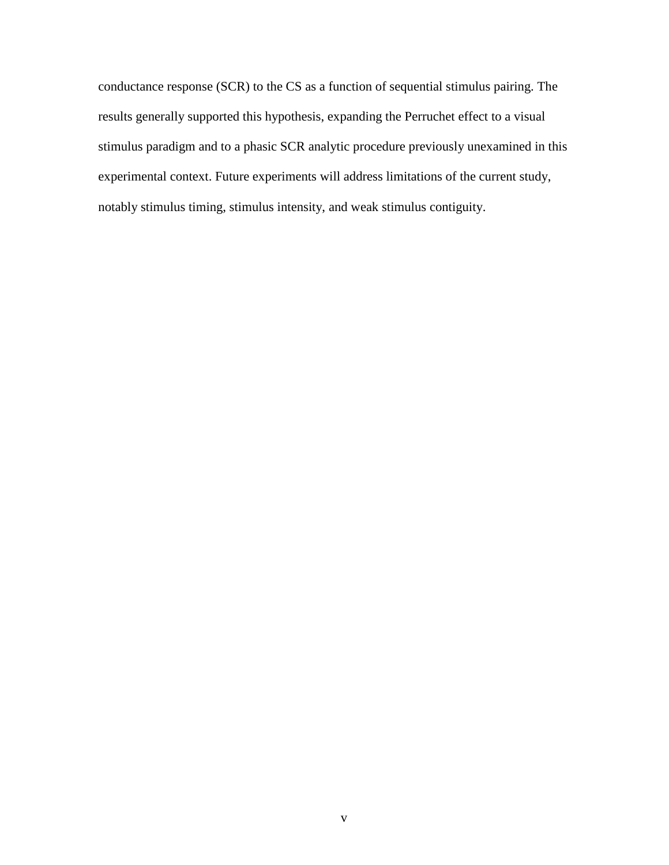conductance response (SCR) to the CS as a function of sequential stimulus pairing. The results generally supported this hypothesis, expanding the Perruchet effect to a visual stimulus paradigm and to a phasic SCR analytic procedure previously unexamined in this experimental context. Future experiments will address limitations of the current study, notably stimulus timing, stimulus intensity, and weak stimulus contiguity.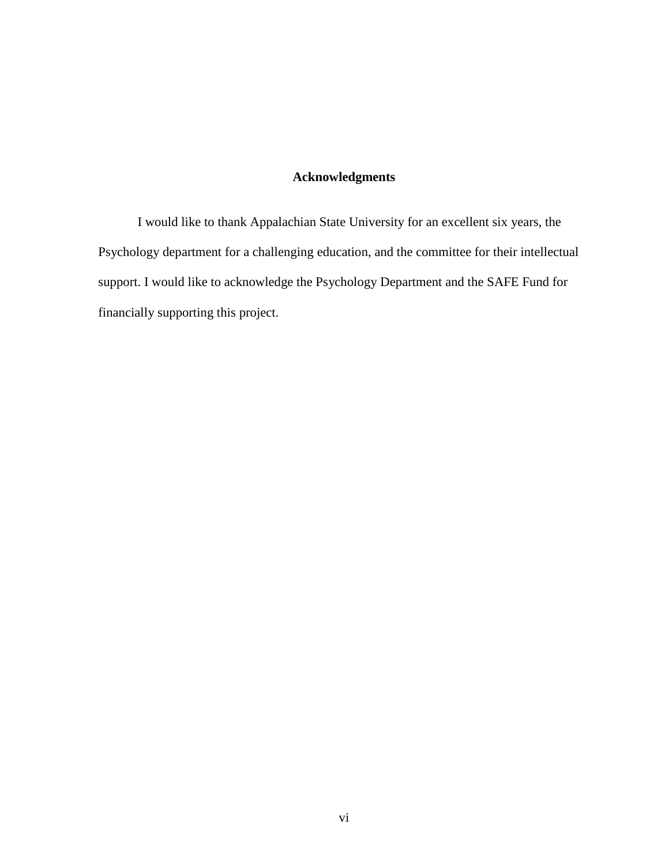### **Acknowledgments**

I would like to thank Appalachian State University for an excellent six years, the Psychology department for a challenging education, and the committee for their intellectual support. I would like to acknowledge the Psychology Department and the SAFE Fund for financially supporting this project.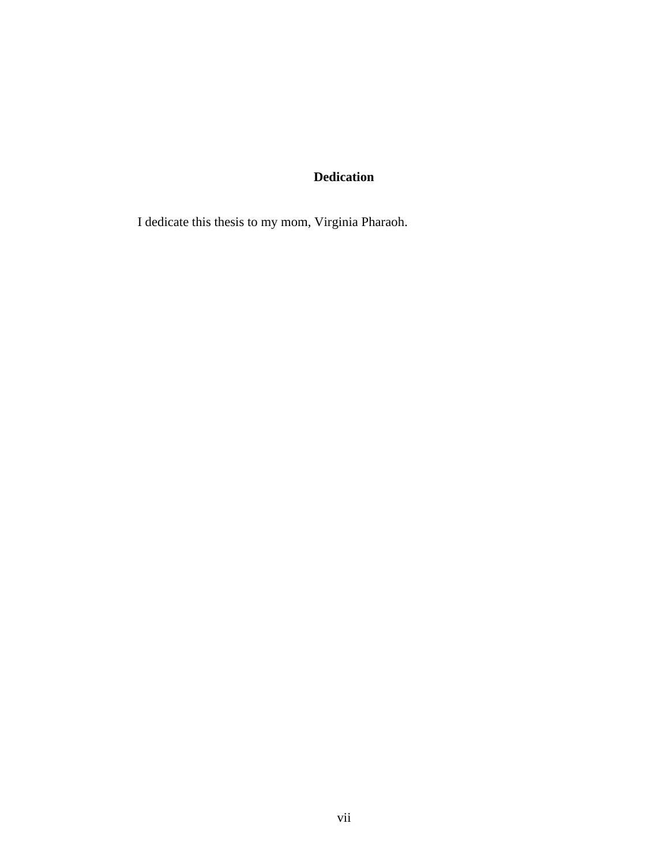# **Dedication**

I dedicate this thesis to my mom, Virginia Pharaoh.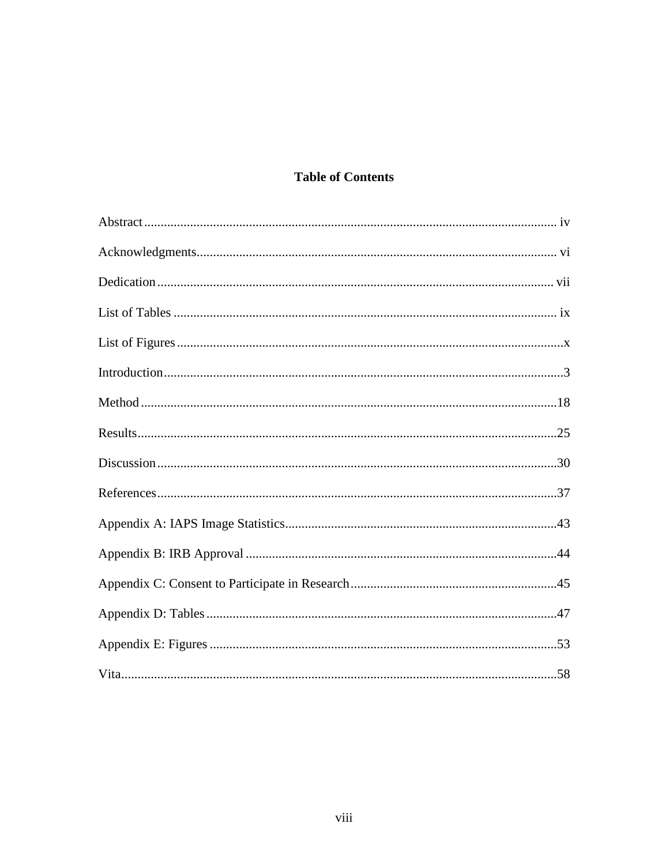# **Table of Contents**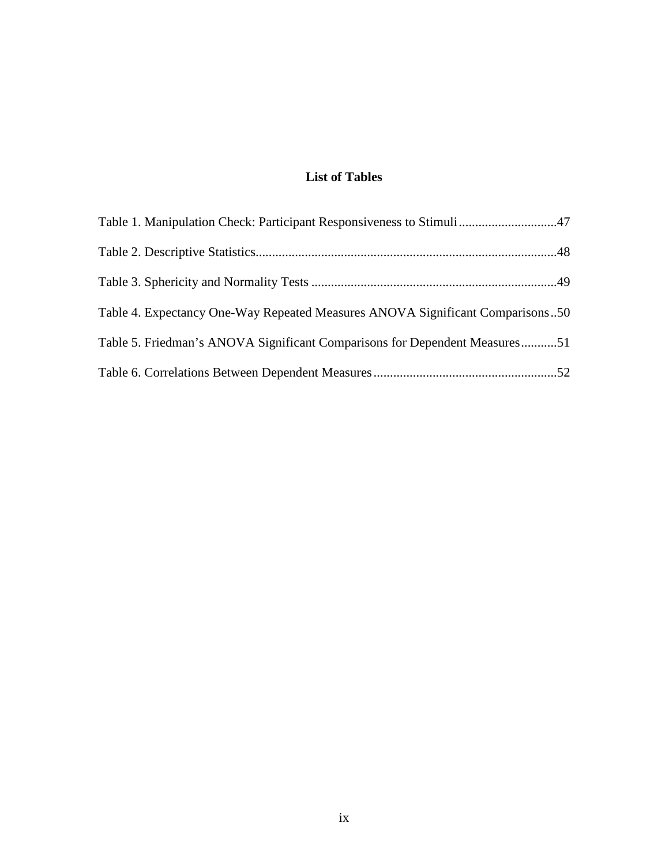# **List of Tables**

| Table 4. Expectancy One-Way Repeated Measures ANOVA Significant Comparisons50 |  |
|-------------------------------------------------------------------------------|--|
| Table 5. Friedman's ANOVA Significant Comparisons for Dependent Measures51    |  |
|                                                                               |  |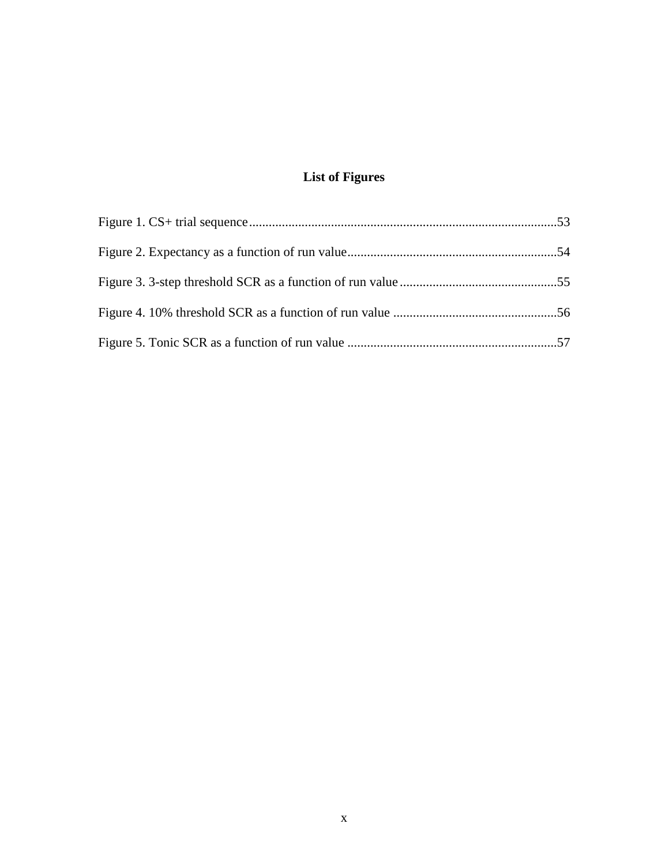# **List of Figures**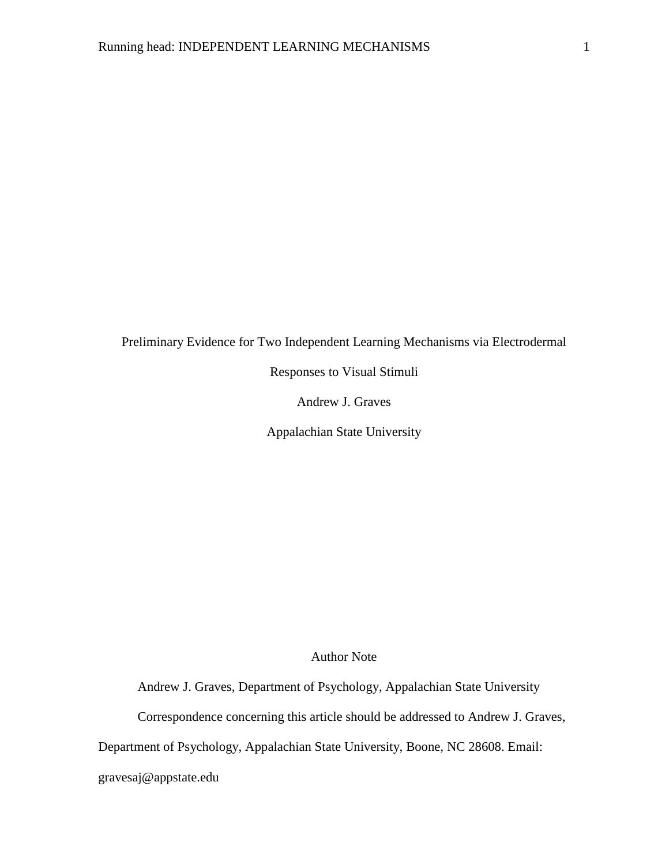Preliminary Evidence for Two Independent Learning Mechanisms via Electrodermal

Responses to Visual Stimuli

Andrew J. Graves

Appalachian State University

Author Note

Andrew J. Graves, Department of Psychology, Appalachian State University

Correspondence concerning this article should be addressed to Andrew J. Graves,

Department of Psychology, Appalachian State University, Boone, NC 28608. Email:

gravesaj@appstate.edu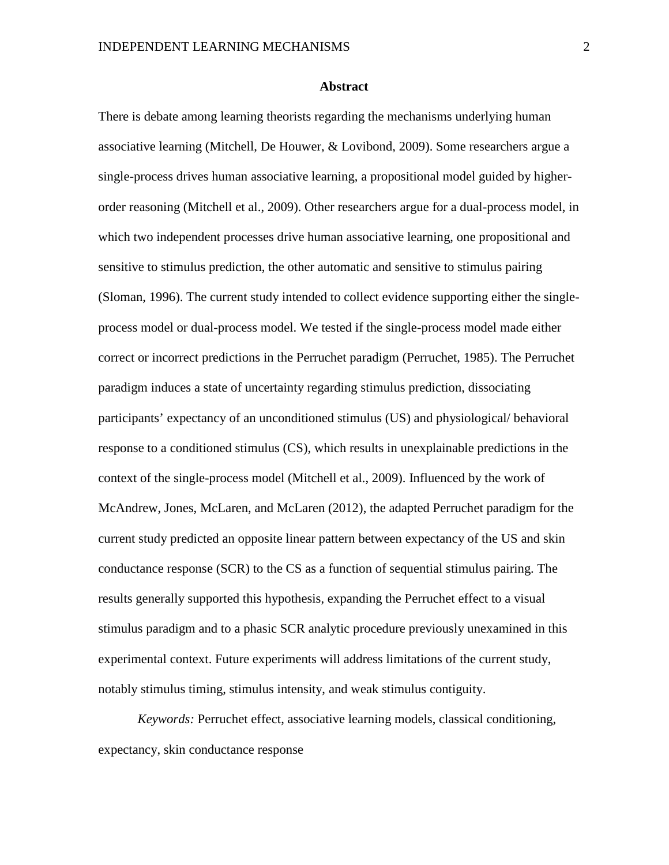#### **Abstract**

There is debate among learning theorists regarding the mechanisms underlying human associative learning (Mitchell, De Houwer, & Lovibond, 2009). Some researchers argue a single-process drives human associative learning, a propositional model guided by higherorder reasoning (Mitchell et al., 2009). Other researchers argue for a dual-process model, in which two independent processes drive human associative learning, one propositional and sensitive to stimulus prediction, the other automatic and sensitive to stimulus pairing (Sloman, 1996). The current study intended to collect evidence supporting either the singleprocess model or dual-process model. We tested if the single-process model made either correct or incorrect predictions in the Perruchet paradigm (Perruchet, 1985). The Perruchet paradigm induces a state of uncertainty regarding stimulus prediction, dissociating participants' expectancy of an unconditioned stimulus (US) and physiological/ behavioral response to a conditioned stimulus (CS), which results in unexplainable predictions in the context of the single-process model (Mitchell et al., 2009). Influenced by the work of McAndrew, Jones, McLaren, and McLaren (2012), the adapted Perruchet paradigm for the current study predicted an opposite linear pattern between expectancy of the US and skin conductance response (SCR) to the CS as a function of sequential stimulus pairing. The results generally supported this hypothesis, expanding the Perruchet effect to a visual stimulus paradigm and to a phasic SCR analytic procedure previously unexamined in this experimental context. Future experiments will address limitations of the current study, notably stimulus timing, stimulus intensity, and weak stimulus contiguity.

*Keywords:* Perruchet effect, associative learning models, classical conditioning, expectancy, skin conductance response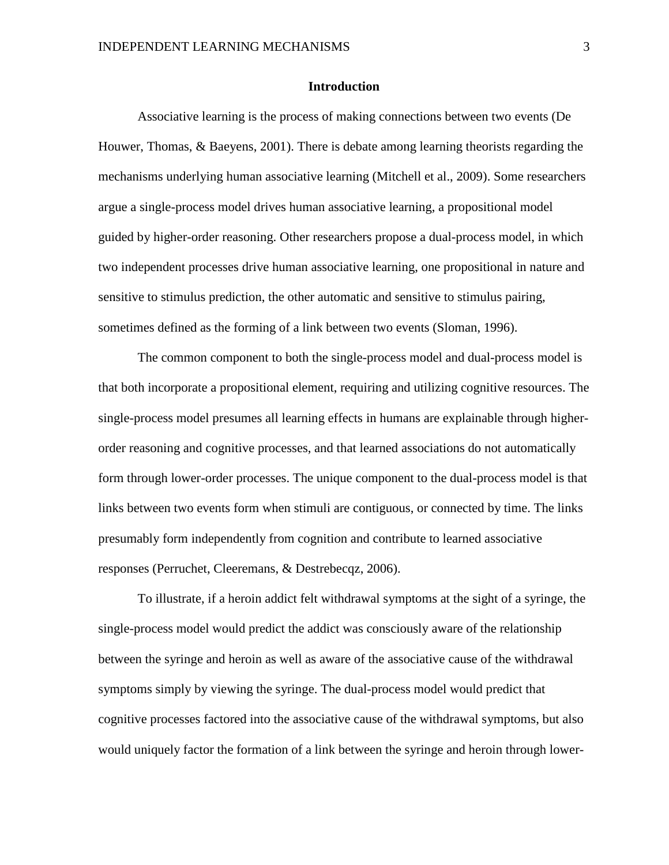#### **Introduction**

Associative learning is the process of making connections between two events (De Houwer, Thomas, & Baeyens, 2001). There is debate among learning theorists regarding the mechanisms underlying human associative learning (Mitchell et al., 2009). Some researchers argue a single-process model drives human associative learning, a propositional model guided by higher-order reasoning. Other researchers propose a dual-process model, in which two independent processes drive human associative learning, one propositional in nature and sensitive to stimulus prediction, the other automatic and sensitive to stimulus pairing, sometimes defined as the forming of a link between two events (Sloman, 1996).

The common component to both the single-process model and dual-process model is that both incorporate a propositional element, requiring and utilizing cognitive resources. The single-process model presumes all learning effects in humans are explainable through higherorder reasoning and cognitive processes, and that learned associations do not automatically form through lower-order processes. The unique component to the dual-process model is that links between two events form when stimuli are contiguous, or connected by time. The links presumably form independently from cognition and contribute to learned associative responses (Perruchet, Cleeremans, & Destrebecqz, 2006).

To illustrate, if a heroin addict felt withdrawal symptoms at the sight of a syringe, the single-process model would predict the addict was consciously aware of the relationship between the syringe and heroin as well as aware of the associative cause of the withdrawal symptoms simply by viewing the syringe. The dual-process model would predict that cognitive processes factored into the associative cause of the withdrawal symptoms, but also would uniquely factor the formation of a link between the syringe and heroin through lower-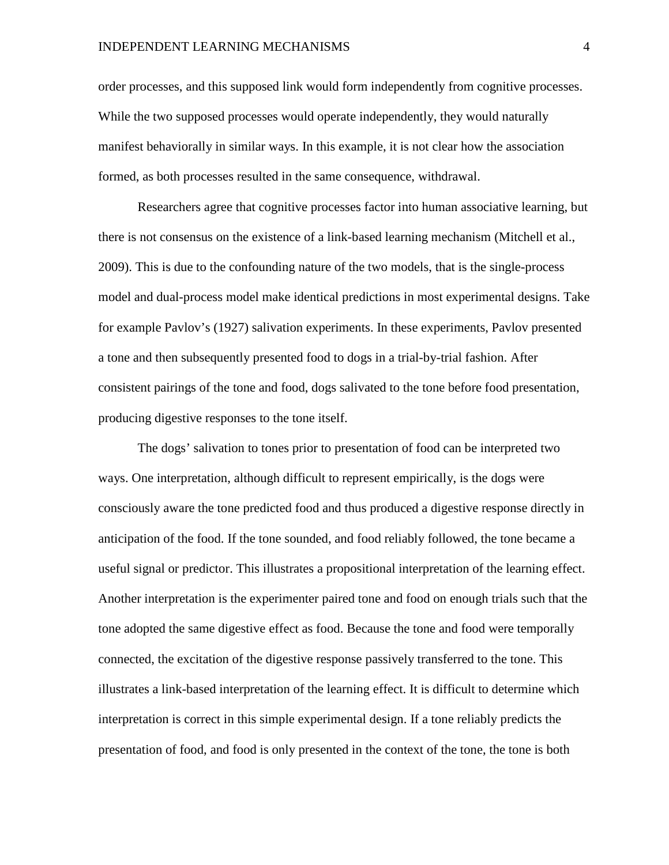#### INDEPENDENT LEARNING MECHANISMS 4

order processes, and this supposed link would form independently from cognitive processes. While the two supposed processes would operate independently, they would naturally manifest behaviorally in similar ways. In this example, it is not clear how the association formed, as both processes resulted in the same consequence, withdrawal.

Researchers agree that cognitive processes factor into human associative learning, but there is not consensus on the existence of a link-based learning mechanism (Mitchell et al., 2009). This is due to the confounding nature of the two models, that is the single-process model and dual-process model make identical predictions in most experimental designs. Take for example Pavlov's (1927) salivation experiments. In these experiments, Pavlov presented a tone and then subsequently presented food to dogs in a trial-by-trial fashion. After consistent pairings of the tone and food, dogs salivated to the tone before food presentation, producing digestive responses to the tone itself.

The dogs' salivation to tones prior to presentation of food can be interpreted two ways. One interpretation, although difficult to represent empirically, is the dogs were consciously aware the tone predicted food and thus produced a digestive response directly in anticipation of the food. If the tone sounded, and food reliably followed, the tone became a useful signal or predictor. This illustrates a propositional interpretation of the learning effect. Another interpretation is the experimenter paired tone and food on enough trials such that the tone adopted the same digestive effect as food. Because the tone and food were temporally connected, the excitation of the digestive response passively transferred to the tone. This illustrates a link-based interpretation of the learning effect. It is difficult to determine which interpretation is correct in this simple experimental design. If a tone reliably predicts the presentation of food, and food is only presented in the context of the tone, the tone is both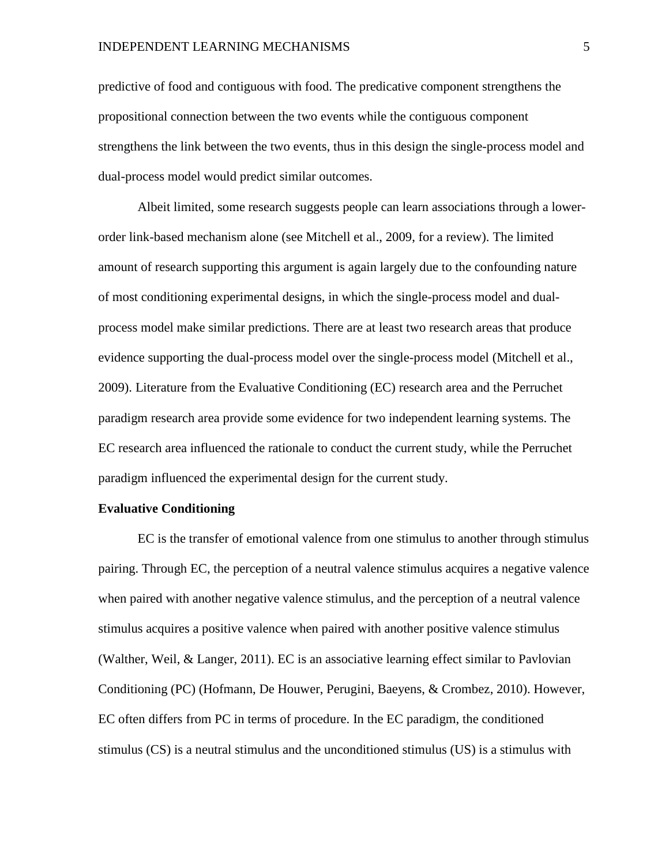predictive of food and contiguous with food. The predicative component strengthens the propositional connection between the two events while the contiguous component strengthens the link between the two events, thus in this design the single-process model and dual-process model would predict similar outcomes.

Albeit limited, some research suggests people can learn associations through a lowerorder link-based mechanism alone (see Mitchell et al., 2009, for a review). The limited amount of research supporting this argument is again largely due to the confounding nature of most conditioning experimental designs, in which the single-process model and dualprocess model make similar predictions. There are at least two research areas that produce evidence supporting the dual-process model over the single-process model (Mitchell et al., 2009). Literature from the Evaluative Conditioning (EC) research area and the Perruchet paradigm research area provide some evidence for two independent learning systems. The EC research area influenced the rationale to conduct the current study, while the Perruchet paradigm influenced the experimental design for the current study.

#### **Evaluative Conditioning**

EC is the transfer of emotional valence from one stimulus to another through stimulus pairing. Through EC, the perception of a neutral valence stimulus acquires a negative valence when paired with another negative valence stimulus, and the perception of a neutral valence stimulus acquires a positive valence when paired with another positive valence stimulus (Walther, Weil, & Langer, 2011). EC is an associative learning effect similar to Pavlovian Conditioning (PC) (Hofmann, De Houwer, Perugini, Baeyens, & Crombez, 2010). However, EC often differs from PC in terms of procedure. In the EC paradigm, the conditioned stimulus (CS) is a neutral stimulus and the unconditioned stimulus (US) is a stimulus with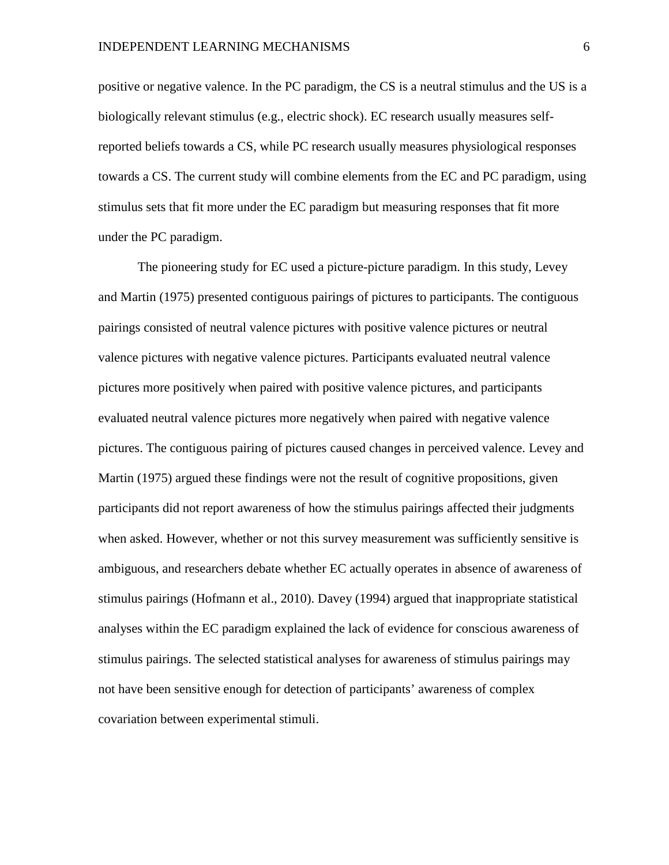positive or negative valence. In the PC paradigm, the CS is a neutral stimulus and the US is a biologically relevant stimulus (e.g., electric shock). EC research usually measures selfreported beliefs towards a CS, while PC research usually measures physiological responses towards a CS. The current study will combine elements from the EC and PC paradigm, using stimulus sets that fit more under the EC paradigm but measuring responses that fit more under the PC paradigm.

The pioneering study for EC used a picture-picture paradigm. In this study, Levey and Martin (1975) presented contiguous pairings of pictures to participants. The contiguous pairings consisted of neutral valence pictures with positive valence pictures or neutral valence pictures with negative valence pictures. Participants evaluated neutral valence pictures more positively when paired with positive valence pictures, and participants evaluated neutral valence pictures more negatively when paired with negative valence pictures. The contiguous pairing of pictures caused changes in perceived valence. Levey and Martin (1975) argued these findings were not the result of cognitive propositions, given participants did not report awareness of how the stimulus pairings affected their judgments when asked. However, whether or not this survey measurement was sufficiently sensitive is ambiguous, and researchers debate whether EC actually operates in absence of awareness of stimulus pairings (Hofmann et al., 2010). Davey (1994) argued that inappropriate statistical analyses within the EC paradigm explained the lack of evidence for conscious awareness of stimulus pairings. The selected statistical analyses for awareness of stimulus pairings may not have been sensitive enough for detection of participants' awareness of complex covariation between experimental stimuli.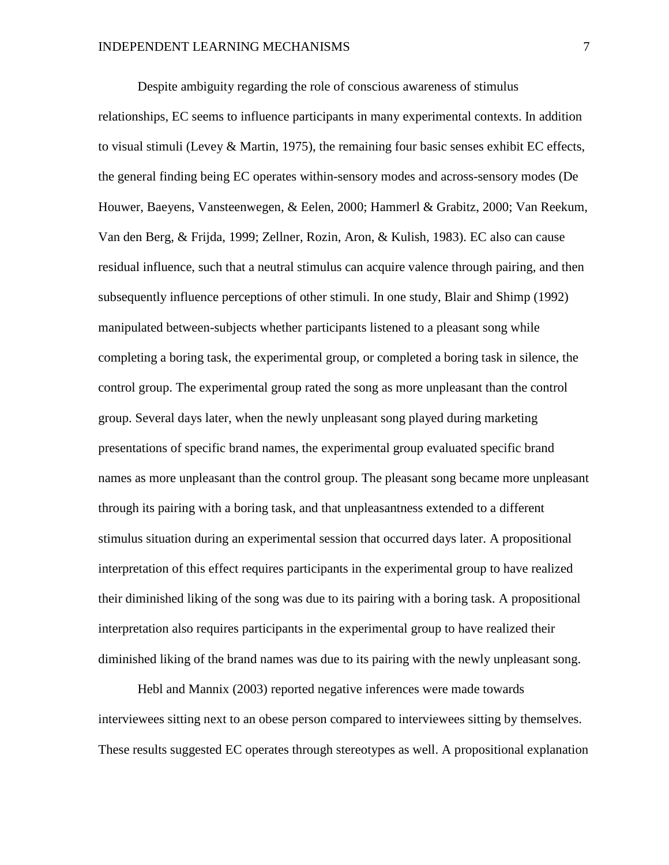Despite ambiguity regarding the role of conscious awareness of stimulus relationships, EC seems to influence participants in many experimental contexts. In addition to visual stimuli (Levey  $\&$  Martin, 1975), the remaining four basic senses exhibit EC effects, the general finding being EC operates within-sensory modes and across-sensory modes (De Houwer, Baeyens, Vansteenwegen, & Eelen, 2000; Hammerl & Grabitz, 2000; Van Reekum, Van den Berg, & Frijda, 1999; Zellner, Rozin, Aron, & Kulish, 1983). EC also can cause residual influence, such that a neutral stimulus can acquire valence through pairing, and then subsequently influence perceptions of other stimuli. In one study, Blair and Shimp (1992) manipulated between-subjects whether participants listened to a pleasant song while completing a boring task, the experimental group, or completed a boring task in silence, the control group. The experimental group rated the song as more unpleasant than the control group. Several days later, when the newly unpleasant song played during marketing presentations of specific brand names, the experimental group evaluated specific brand names as more unpleasant than the control group. The pleasant song became more unpleasant through its pairing with a boring task, and that unpleasantness extended to a different stimulus situation during an experimental session that occurred days later. A propositional interpretation of this effect requires participants in the experimental group to have realized their diminished liking of the song was due to its pairing with a boring task. A propositional interpretation also requires participants in the experimental group to have realized their diminished liking of the brand names was due to its pairing with the newly unpleasant song.

Hebl and Mannix (2003) reported negative inferences were made towards interviewees sitting next to an obese person compared to interviewees sitting by themselves. These results suggested EC operates through stereotypes as well. A propositional explanation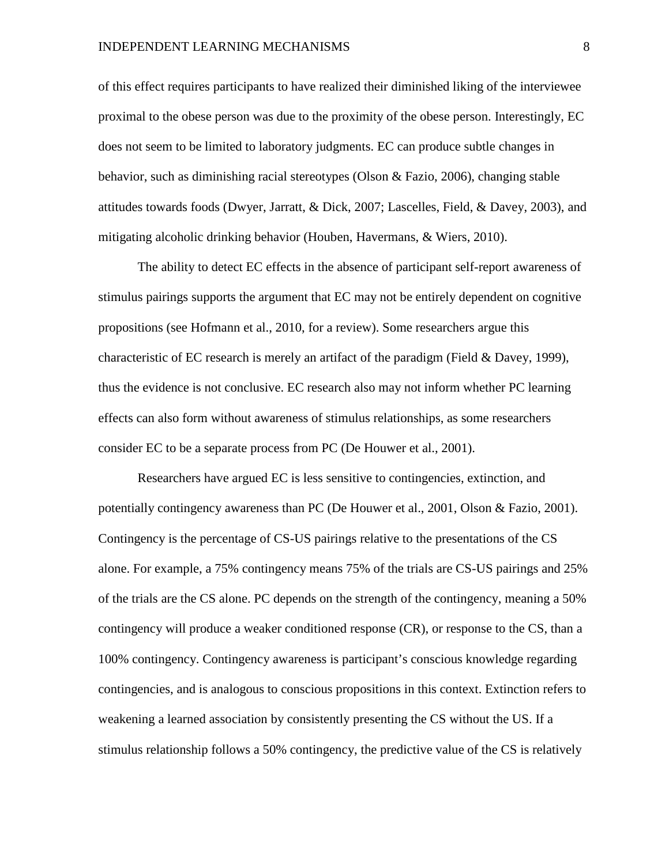#### INDEPENDENT LEARNING MECHANISMS 8

of this effect requires participants to have realized their diminished liking of the interviewee proximal to the obese person was due to the proximity of the obese person. Interestingly, EC does not seem to be limited to laboratory judgments. EC can produce subtle changes in behavior, such as diminishing racial stereotypes (Olson & Fazio, 2006), changing stable attitudes towards foods (Dwyer, Jarratt, & Dick, 2007; Lascelles, Field, & Davey, 2003), and mitigating alcoholic drinking behavior (Houben, Havermans, & Wiers, 2010).

The ability to detect EC effects in the absence of participant self-report awareness of stimulus pairings supports the argument that EC may not be entirely dependent on cognitive propositions (see Hofmann et al., 2010, for a review). Some researchers argue this characteristic of EC research is merely an artifact of the paradigm (Field & Davey, 1999), thus the evidence is not conclusive. EC research also may not inform whether PC learning effects can also form without awareness of stimulus relationships, as some researchers consider EC to be a separate process from PC (De Houwer et al., 2001).

Researchers have argued EC is less sensitive to contingencies, extinction, and potentially contingency awareness than PC (De Houwer et al., 2001, Olson & Fazio, 2001). Contingency is the percentage of CS-US pairings relative to the presentations of the CS alone. For example, a 75% contingency means 75% of the trials are CS-US pairings and 25% of the trials are the CS alone. PC depends on the strength of the contingency, meaning a 50% contingency will produce a weaker conditioned response (CR), or response to the CS, than a 100% contingency. Contingency awareness is participant's conscious knowledge regarding contingencies, and is analogous to conscious propositions in this context. Extinction refers to weakening a learned association by consistently presenting the CS without the US. If a stimulus relationship follows a 50% contingency, the predictive value of the CS is relatively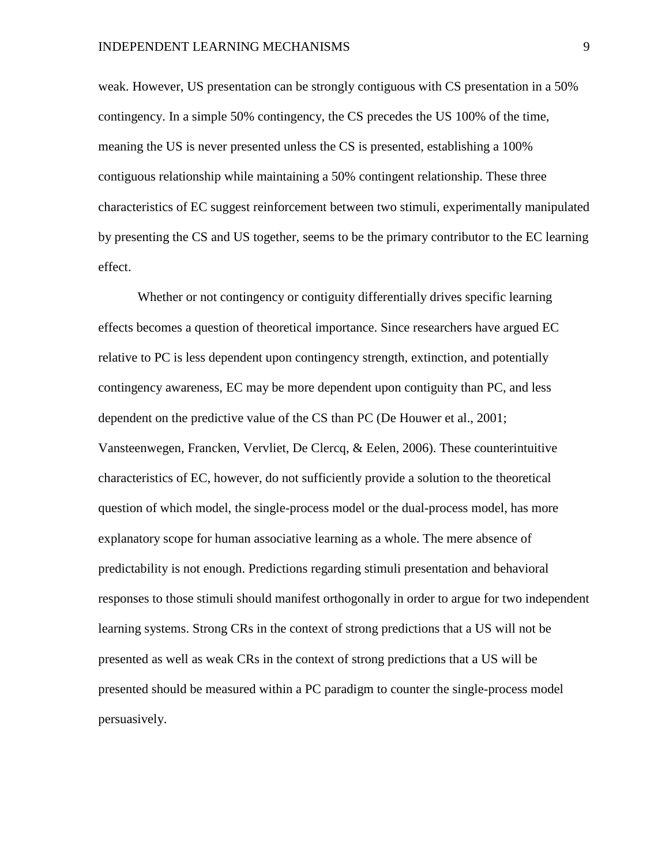weak. However, US presentation can be strongly contiguous with CS presentation in a 50% contingency. In a simple 50% contingency, the CS precedes the US 100% of the time, meaning the US is never presented unless the CS is presented, establishing a 100% contiguous relationship while maintaining a 50% contingent relationship. These three characteristics of EC suggest reinforcement between two stimuli, experimentally manipulated by presenting the CS and US together, seems to be the primary contributor to the EC learning effect.

Whether or not contingency or contiguity differentially drives specific learning effects becomes a question of theoretical importance. Since researchers have argued EC relative to PC is less dependent upon contingency strength, extinction, and potentially contingency awareness, EC may be more dependent upon contiguity than PC, and less dependent on the predictive value of the CS than PC (De Houwer et al., 2001; Vansteenwegen, Francken, Vervliet, De Clercq, & Eelen, 2006). These counterintuitive characteristics of EC, however, do not sufficiently provide a solution to the theoretical question of which model, the single-process model or the dual-process model, has more explanatory scope for human associative learning as a whole. The mere absence of predictability is not enough. Predictions regarding stimuli presentation and behavioral responses to those stimuli should manifest orthogonally in order to argue for two independent learning systems. Strong CRs in the context of strong predictions that a US will not be presented as well as weak CRs in the context of strong predictions that a US will be presented should be measured within a PC paradigm to counter the single-process model persuasively.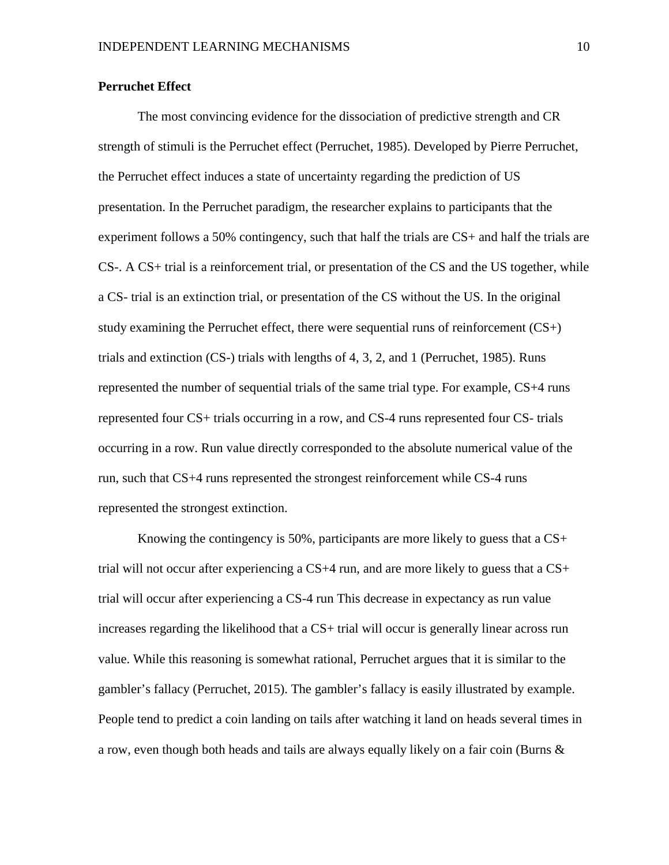### **Perruchet Effect**

The most convincing evidence for the dissociation of predictive strength and CR strength of stimuli is the Perruchet effect (Perruchet, 1985). Developed by Pierre Perruchet, the Perruchet effect induces a state of uncertainty regarding the prediction of US presentation. In the Perruchet paradigm, the researcher explains to participants that the experiment follows a 50% contingency, such that half the trials are CS+ and half the trials are CS-. A CS+ trial is a reinforcement trial, or presentation of the CS and the US together, while a CS- trial is an extinction trial, or presentation of the CS without the US. In the original study examining the Perruchet effect, there were sequential runs of reinforcement  $(CS+)$ trials and extinction (CS-) trials with lengths of 4, 3, 2, and 1 (Perruchet, 1985). Runs represented the number of sequential trials of the same trial type. For example, CS+4 runs represented four CS+ trials occurring in a row, and CS-4 runs represented four CS- trials occurring in a row. Run value directly corresponded to the absolute numerical value of the run, such that CS+4 runs represented the strongest reinforcement while CS-4 runs represented the strongest extinction.

Knowing the contingency is 50%, participants are more likely to guess that a  $CS<sub>+</sub>$ trial will not occur after experiencing a  $CS+4$  run, and are more likely to guess that a  $CS+$ trial will occur after experiencing a CS-4 run This decrease in expectancy as run value increases regarding the likelihood that a CS+ trial will occur is generally linear across run value. While this reasoning is somewhat rational, Perruchet argues that it is similar to the gambler's fallacy (Perruchet, 2015). The gambler's fallacy is easily illustrated by example. People tend to predict a coin landing on tails after watching it land on heads several times in a row, even though both heads and tails are always equally likely on a fair coin (Burns  $\&$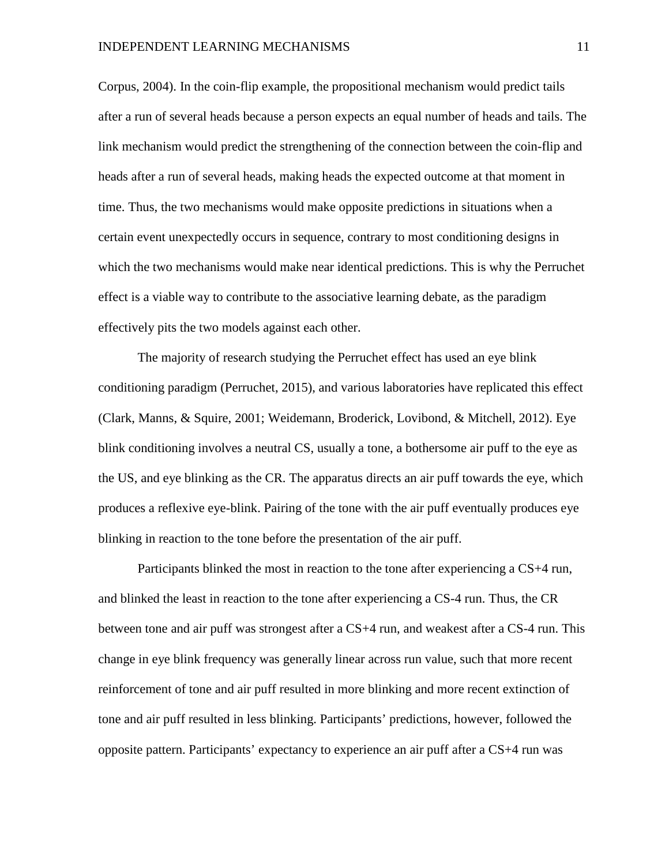Corpus, 2004). In the coin-flip example, the propositional mechanism would predict tails after a run of several heads because a person expects an equal number of heads and tails. The link mechanism would predict the strengthening of the connection between the coin-flip and heads after a run of several heads, making heads the expected outcome at that moment in time. Thus, the two mechanisms would make opposite predictions in situations when a certain event unexpectedly occurs in sequence, contrary to most conditioning designs in which the two mechanisms would make near identical predictions. This is why the Perruchet effect is a viable way to contribute to the associative learning debate, as the paradigm effectively pits the two models against each other.

The majority of research studying the Perruchet effect has used an eye blink conditioning paradigm (Perruchet, 2015), and various laboratories have replicated this effect (Clark, Manns, & Squire, 2001; Weidemann, Broderick, Lovibond, & Mitchell, 2012). Eye blink conditioning involves a neutral CS, usually a tone, a bothersome air puff to the eye as the US, and eye blinking as the CR. The apparatus directs an air puff towards the eye, which produces a reflexive eye-blink. Pairing of the tone with the air puff eventually produces eye blinking in reaction to the tone before the presentation of the air puff.

Participants blinked the most in reaction to the tone after experiencing a CS+4 run, and blinked the least in reaction to the tone after experiencing a CS-4 run. Thus, the CR between tone and air puff was strongest after a CS+4 run, and weakest after a CS-4 run. This change in eye blink frequency was generally linear across run value, such that more recent reinforcement of tone and air puff resulted in more blinking and more recent extinction of tone and air puff resulted in less blinking. Participants' predictions, however, followed the opposite pattern. Participants' expectancy to experience an air puff after a CS+4 run was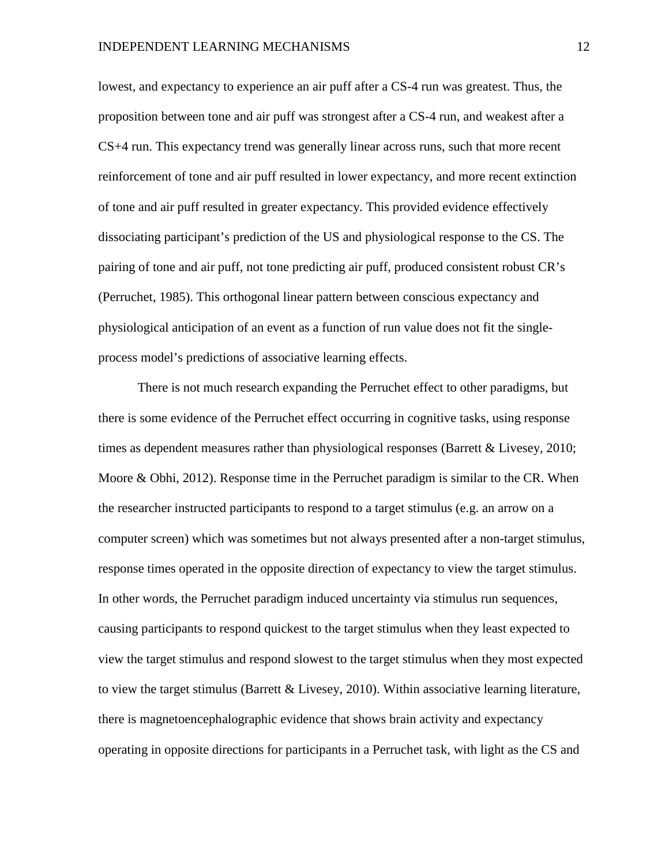lowest, and expectancy to experience an air puff after a CS-4 run was greatest. Thus, the proposition between tone and air puff was strongest after a CS-4 run, and weakest after a CS+4 run. This expectancy trend was generally linear across runs, such that more recent reinforcement of tone and air puff resulted in lower expectancy, and more recent extinction of tone and air puff resulted in greater expectancy. This provided evidence effectively dissociating participant's prediction of the US and physiological response to the CS. The pairing of tone and air puff, not tone predicting air puff, produced consistent robust CR's (Perruchet, 1985). This orthogonal linear pattern between conscious expectancy and physiological anticipation of an event as a function of run value does not fit the singleprocess model's predictions of associative learning effects.

There is not much research expanding the Perruchet effect to other paradigms, but there is some evidence of the Perruchet effect occurring in cognitive tasks, using response times as dependent measures rather than physiological responses (Barrett & Livesey, 2010; Moore & Obhi, 2012). Response time in the Perruchet paradigm is similar to the CR. When the researcher instructed participants to respond to a target stimulus (e.g. an arrow on a computer screen) which was sometimes but not always presented after a non-target stimulus, response times operated in the opposite direction of expectancy to view the target stimulus. In other words, the Perruchet paradigm induced uncertainty via stimulus run sequences, causing participants to respond quickest to the target stimulus when they least expected to view the target stimulus and respond slowest to the target stimulus when they most expected to view the target stimulus (Barrett & Livesey, 2010). Within associative learning literature, there is magnetoencephalographic evidence that shows brain activity and expectancy operating in opposite directions for participants in a Perruchet task, with light as the CS and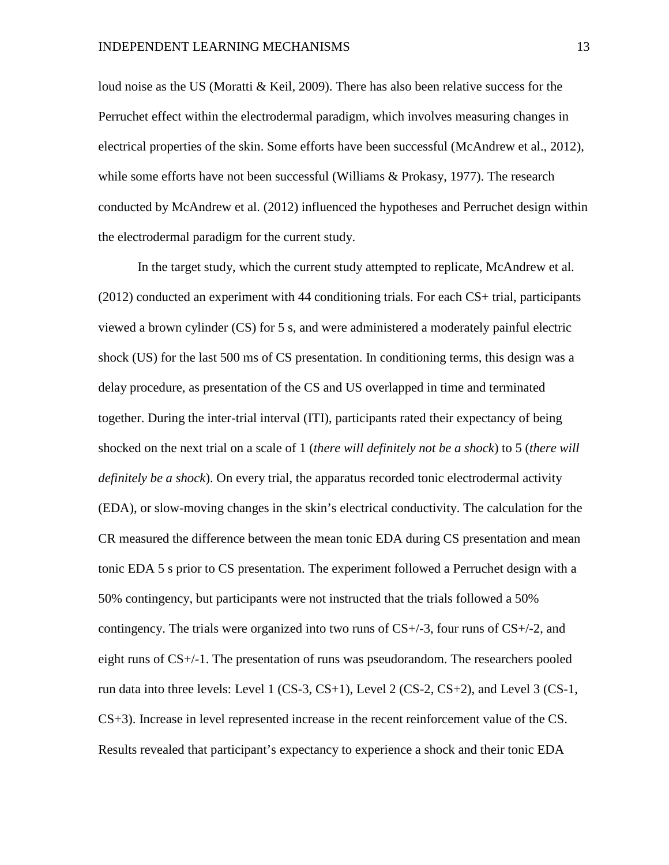loud noise as the US (Moratti & Keil, 2009). There has also been relative success for the Perruchet effect within the electrodermal paradigm, which involves measuring changes in electrical properties of the skin. Some efforts have been successful (McAndrew et al., 2012), while some efforts have not been successful (Williams & Prokasy, 1977). The research conducted by McAndrew et al. (2012) influenced the hypotheses and Perruchet design within the electrodermal paradigm for the current study.

In the target study, which the current study attempted to replicate, McAndrew et al. (2012) conducted an experiment with 44 conditioning trials. For each CS+ trial, participants viewed a brown cylinder (CS) for 5 s, and were administered a moderately painful electric shock (US) for the last 500 ms of CS presentation. In conditioning terms, this design was a delay procedure, as presentation of the CS and US overlapped in time and terminated together. During the inter-trial interval (ITI), participants rated their expectancy of being shocked on the next trial on a scale of 1 (*there will definitely not be a shock*) to 5 (*there will definitely be a shock*). On every trial, the apparatus recorded tonic electrodermal activity (EDA), or slow-moving changes in the skin's electrical conductivity. The calculation for the CR measured the difference between the mean tonic EDA during CS presentation and mean tonic EDA 5 s prior to CS presentation. The experiment followed a Perruchet design with a 50% contingency, but participants were not instructed that the trials followed a 50% contingency. The trials were organized into two runs of  $CS+/3$ , four runs of  $CS+/2$ , and eight runs of CS+/-1. The presentation of runs was pseudorandom. The researchers pooled run data into three levels: Level 1 (CS-3, CS+1), Level 2 (CS-2, CS+2), and Level 3 (CS-1, CS+3). Increase in level represented increase in the recent reinforcement value of the CS. Results revealed that participant's expectancy to experience a shock and their tonic EDA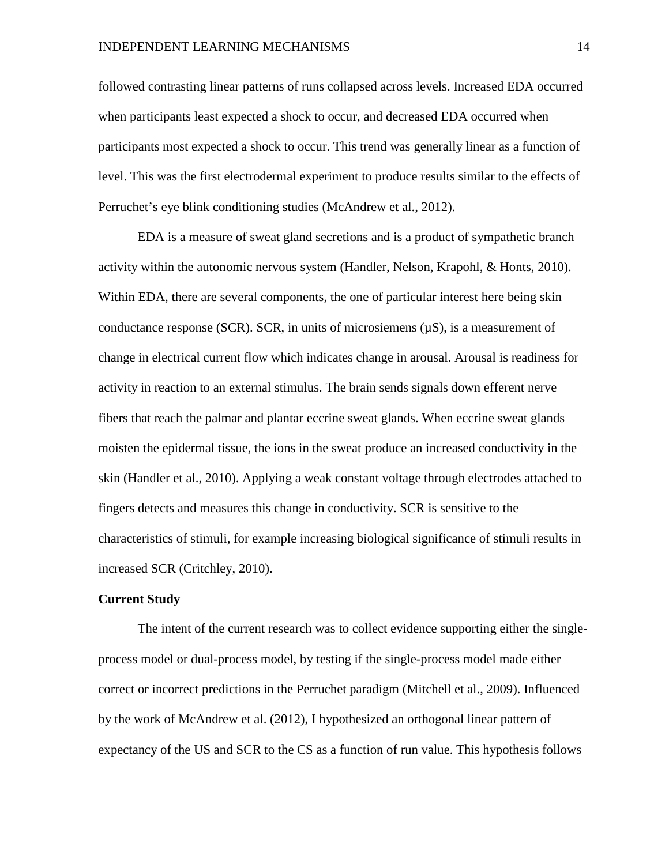#### INDEPENDENT LEARNING MECHANISMS 14

followed contrasting linear patterns of runs collapsed across levels. Increased EDA occurred when participants least expected a shock to occur, and decreased EDA occurred when participants most expected a shock to occur. This trend was generally linear as a function of level. This was the first electrodermal experiment to produce results similar to the effects of Perruchet's eye blink conditioning studies (McAndrew et al., 2012).

EDA is a measure of sweat gland secretions and is a product of sympathetic branch activity within the autonomic nervous system (Handler, Nelson, Krapohl, & Honts, 2010). Within EDA, there are several components, the one of particular interest here being skin conductance response (SCR). SCR, in units of microsiemens  $(\mu S)$ , is a measurement of change in electrical current flow which indicates change in arousal. Arousal is readiness for activity in reaction to an external stimulus. The brain sends signals down efferent nerve fibers that reach the palmar and plantar eccrine sweat glands. When eccrine sweat glands moisten the epidermal tissue, the ions in the sweat produce an increased conductivity in the skin (Handler et al., 2010). Applying a weak constant voltage through electrodes attached to fingers detects and measures this change in conductivity. SCR is sensitive to the characteristics of stimuli, for example increasing biological significance of stimuli results in increased SCR (Critchley, 2010).

#### **Current Study**

The intent of the current research was to collect evidence supporting either the singleprocess model or dual-process model, by testing if the single-process model made either correct or incorrect predictions in the Perruchet paradigm (Mitchell et al., 2009). Influenced by the work of McAndrew et al. (2012), I hypothesized an orthogonal linear pattern of expectancy of the US and SCR to the CS as a function of run value. This hypothesis follows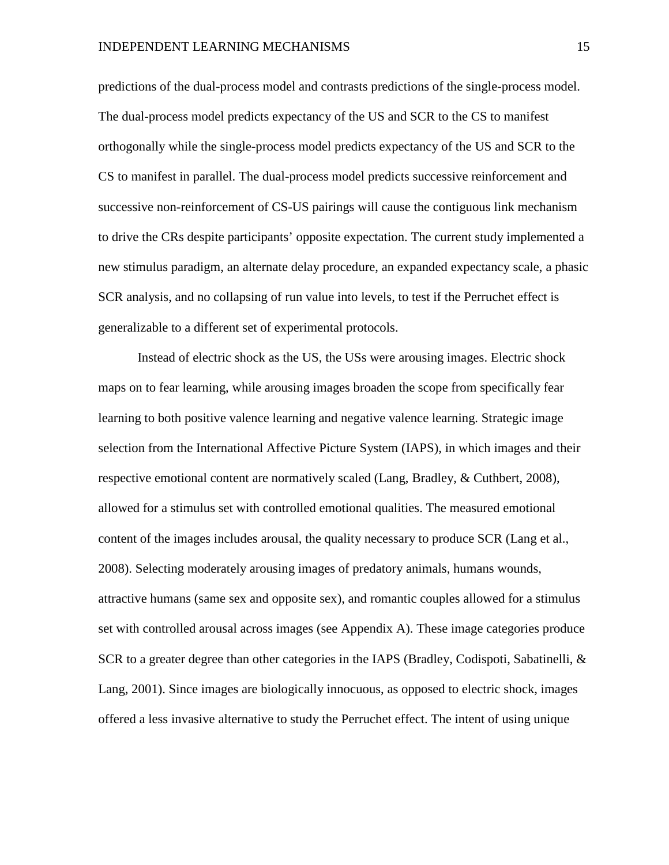predictions of the dual-process model and contrasts predictions of the single-process model. The dual-process model predicts expectancy of the US and SCR to the CS to manifest orthogonally while the single-process model predicts expectancy of the US and SCR to the CS to manifest in parallel. The dual-process model predicts successive reinforcement and successive non-reinforcement of CS-US pairings will cause the contiguous link mechanism to drive the CRs despite participants' opposite expectation. The current study implemented a new stimulus paradigm, an alternate delay procedure, an expanded expectancy scale, a phasic SCR analysis, and no collapsing of run value into levels, to test if the Perruchet effect is generalizable to a different set of experimental protocols.

Instead of electric shock as the US, the USs were arousing images. Electric shock maps on to fear learning, while arousing images broaden the scope from specifically fear learning to both positive valence learning and negative valence learning. Strategic image selection from the International Affective Picture System (IAPS), in which images and their respective emotional content are normatively scaled (Lang, Bradley, & Cuthbert, 2008), allowed for a stimulus set with controlled emotional qualities. The measured emotional content of the images includes arousal, the quality necessary to produce SCR (Lang et al., 2008). Selecting moderately arousing images of predatory animals, humans wounds, attractive humans (same sex and opposite sex), and romantic couples allowed for a stimulus set with controlled arousal across images (see Appendix A). These image categories produce SCR to a greater degree than other categories in the IAPS (Bradley, Codispoti, Sabatinelli, & Lang, 2001). Since images are biologically innocuous, as opposed to electric shock, images offered a less invasive alternative to study the Perruchet effect. The intent of using unique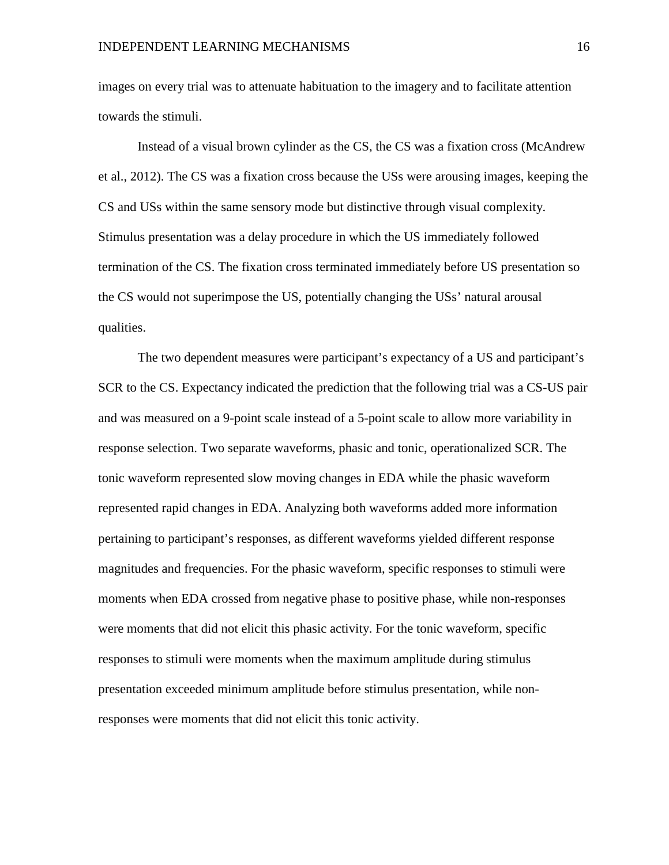images on every trial was to attenuate habituation to the imagery and to facilitate attention towards the stimuli.

Instead of a visual brown cylinder as the CS, the CS was a fixation cross (McAndrew et al., 2012). The CS was a fixation cross because the USs were arousing images, keeping the CS and USs within the same sensory mode but distinctive through visual complexity. Stimulus presentation was a delay procedure in which the US immediately followed termination of the CS. The fixation cross terminated immediately before US presentation so the CS would not superimpose the US, potentially changing the USs' natural arousal qualities.

The two dependent measures were participant's expectancy of a US and participant's SCR to the CS. Expectancy indicated the prediction that the following trial was a CS-US pair and was measured on a 9-point scale instead of a 5-point scale to allow more variability in response selection. Two separate waveforms, phasic and tonic, operationalized SCR. The tonic waveform represented slow moving changes in EDA while the phasic waveform represented rapid changes in EDA. Analyzing both waveforms added more information pertaining to participant's responses, as different waveforms yielded different response magnitudes and frequencies. For the phasic waveform, specific responses to stimuli were moments when EDA crossed from negative phase to positive phase, while non-responses were moments that did not elicit this phasic activity. For the tonic waveform, specific responses to stimuli were moments when the maximum amplitude during stimulus presentation exceeded minimum amplitude before stimulus presentation, while nonresponses were moments that did not elicit this tonic activity.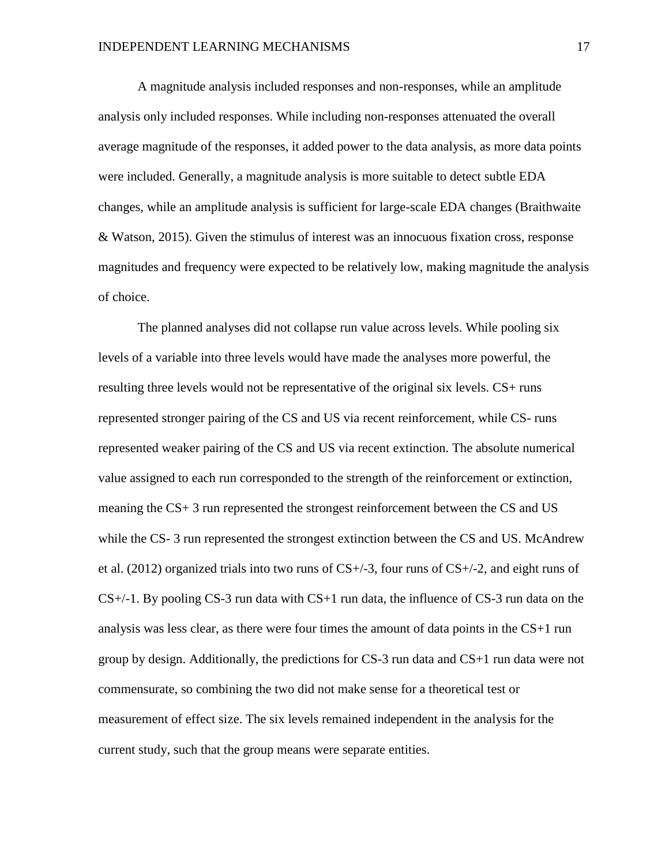A magnitude analysis included responses and non-responses, while an amplitude analysis only included responses. While including non-responses attenuated the overall average magnitude of the responses, it added power to the data analysis, as more data points were included. Generally, a magnitude analysis is more suitable to detect subtle EDA changes, while an amplitude analysis is sufficient for large-scale EDA changes (Braithwaite & Watson, 2015). Given the stimulus of interest was an innocuous fixation cross, response magnitudes and frequency were expected to be relatively low, making magnitude the analysis of choice.

The planned analyses did not collapse run value across levels. While pooling six levels of a variable into three levels would have made the analyses more powerful, the resulting three levels would not be representative of the original six levels. CS+ runs represented stronger pairing of the CS and US via recent reinforcement, while CS- runs represented weaker pairing of the CS and US via recent extinction. The absolute numerical value assigned to each run corresponded to the strength of the reinforcement or extinction, meaning the CS+ 3 run represented the strongest reinforcement between the CS and US while the CS-3 run represented the strongest extinction between the CS and US. McAndrew et al. (2012) organized trials into two runs of  $CS+/3$ , four runs of  $CS+/2$ , and eight runs of  $CS+/-1$ . By pooling CS-3 run data with CS+1 run data, the influence of CS-3 run data on the analysis was less clear, as there were four times the amount of data points in the CS+1 run group by design. Additionally, the predictions for CS-3 run data and CS+1 run data were not commensurate, so combining the two did not make sense for a theoretical test or measurement of effect size. The six levels remained independent in the analysis for the current study, such that the group means were separate entities.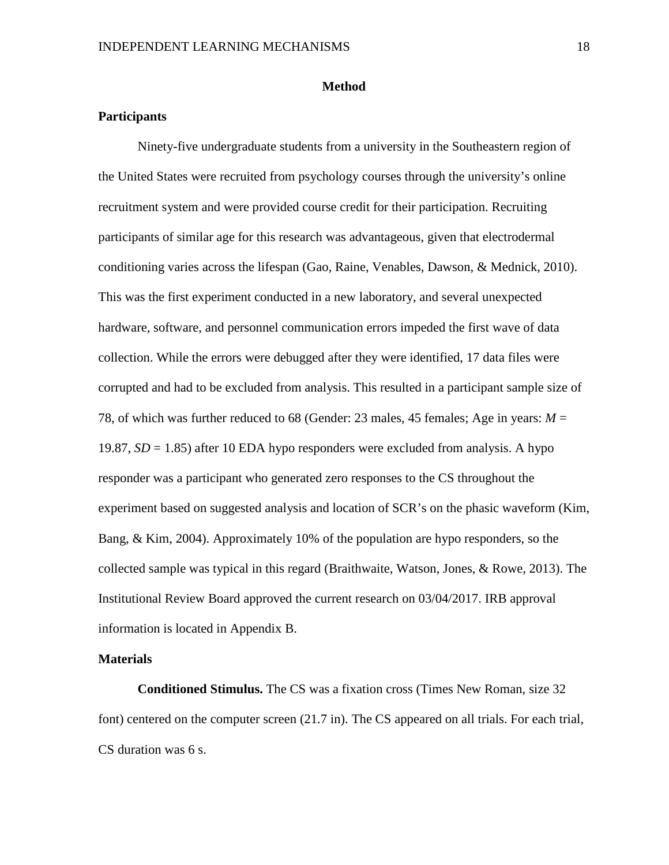#### **Method**

#### **Participants**

Ninety-five undergraduate students from a university in the Southeastern region of the United States were recruited from psychology courses through the university's online recruitment system and were provided course credit for their participation. Recruiting participants of similar age for this research was advantageous, given that electrodermal conditioning varies across the lifespan (Gao, Raine, Venables, Dawson, & Mednick, 2010). This was the first experiment conducted in a new laboratory, and several unexpected hardware, software, and personnel communication errors impeded the first wave of data collection. While the errors were debugged after they were identified, 17 data files were corrupted and had to be excluded from analysis. This resulted in a participant sample size of 78, of which was further reduced to 68 (Gender: 23 males, 45 females; Age in years: *M* = 19.87,  $SD = 1.85$ ) after 10 EDA hypo responders were excluded from analysis. A hypo responder was a participant who generated zero responses to the CS throughout the experiment based on suggested analysis and location of SCR's on the phasic waveform (Kim, Bang, & Kim, 2004). Approximately 10% of the population are hypo responders, so the collected sample was typical in this regard (Braithwaite, Watson, Jones, & Rowe, 2013). The Institutional Review Board approved the current research on 03/04/2017. IRB approval information is located in Appendix B.

#### **Materials**

**Conditioned Stimulus.** The CS was a fixation cross (Times New Roman, size 32 font) centered on the computer screen (21.7 in). The CS appeared on all trials. For each trial, CS duration was 6 s.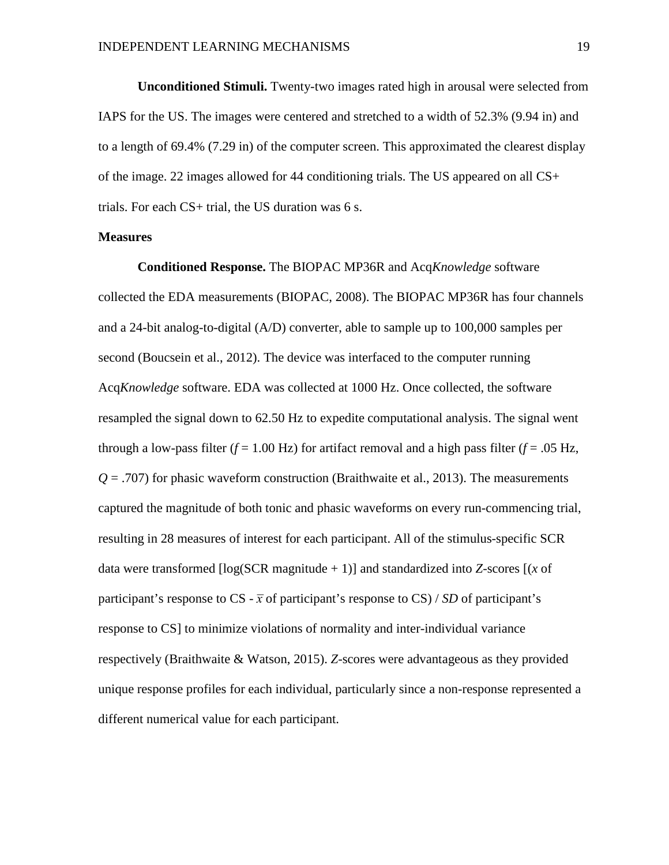**Unconditioned Stimuli.** Twenty-two images rated high in arousal were selected from IAPS for the US. The images were centered and stretched to a width of 52.3% (9.94 in) and to a length of 69.4% (7.29 in) of the computer screen. This approximated the clearest display of the image. 22 images allowed for 44 conditioning trials. The US appeared on all CS+ trials. For each CS+ trial, the US duration was 6 s.

#### **Measures**

**Conditioned Response.** The BIOPAC MP36R and Acq*Knowledge* software collected the EDA measurements (BIOPAC, 2008). The BIOPAC MP36R has four channels and a 24-bit analog-to-digital (A/D) converter, able to sample up to 100,000 samples per second (Boucsein et al., 2012). The device was interfaced to the computer running Acq*Knowledge* software. EDA was collected at 1000 Hz. Once collected, the software resampled the signal down to 62.50 Hz to expedite computational analysis. The signal went through a low-pass filter ( $f = 1.00$  Hz) for artifact removal and a high pass filter ( $f = .05$  Hz,  $Q = .707$ ) for phasic waveform construction (Braithwaite et al., 2013). The measurements captured the magnitude of both tonic and phasic waveforms on every run-commencing trial, resulting in 28 measures of interest for each participant. All of the stimulus-specific SCR data were transformed [log(SCR magnitude + 1)] and standardized into *Z*-scores [(*x* of participant's response to CS -  $\bar{x}$  of participant's response to CS) / *SD* of participant's response to CS] to minimize violations of normality and inter-individual variance respectively (Braithwaite & Watson, 2015). *Z*-scores were advantageous as they provided unique response profiles for each individual, particularly since a non-response represented a different numerical value for each participant.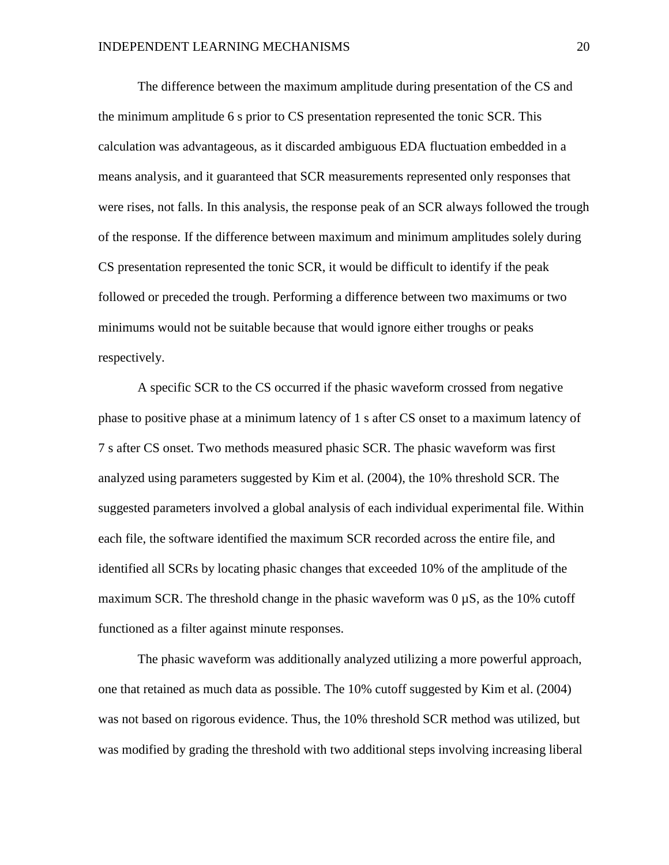The difference between the maximum amplitude during presentation of the CS and the minimum amplitude 6 s prior to CS presentation represented the tonic SCR. This calculation was advantageous, as it discarded ambiguous EDA fluctuation embedded in a means analysis, and it guaranteed that SCR measurements represented only responses that were rises, not falls. In this analysis, the response peak of an SCR always followed the trough of the response. If the difference between maximum and minimum amplitudes solely during CS presentation represented the tonic SCR, it would be difficult to identify if the peak followed or preceded the trough. Performing a difference between two maximums or two minimums would not be suitable because that would ignore either troughs or peaks respectively.

A specific SCR to the CS occurred if the phasic waveform crossed from negative phase to positive phase at a minimum latency of 1 s after CS onset to a maximum latency of 7 s after CS onset. Two methods measured phasic SCR. The phasic waveform was first analyzed using parameters suggested by Kim et al. (2004), the 10% threshold SCR. The suggested parameters involved a global analysis of each individual experimental file. Within each file, the software identified the maximum SCR recorded across the entire file, and identified all SCRs by locating phasic changes that exceeded 10% of the amplitude of the maximum SCR. The threshold change in the phasic waveform was  $0 \mu S$ , as the 10% cutoff functioned as a filter against minute responses.

The phasic waveform was additionally analyzed utilizing a more powerful approach, one that retained as much data as possible. The 10% cutoff suggested by Kim et al. (2004) was not based on rigorous evidence. Thus, the 10% threshold SCR method was utilized, but was modified by grading the threshold with two additional steps involving increasing liberal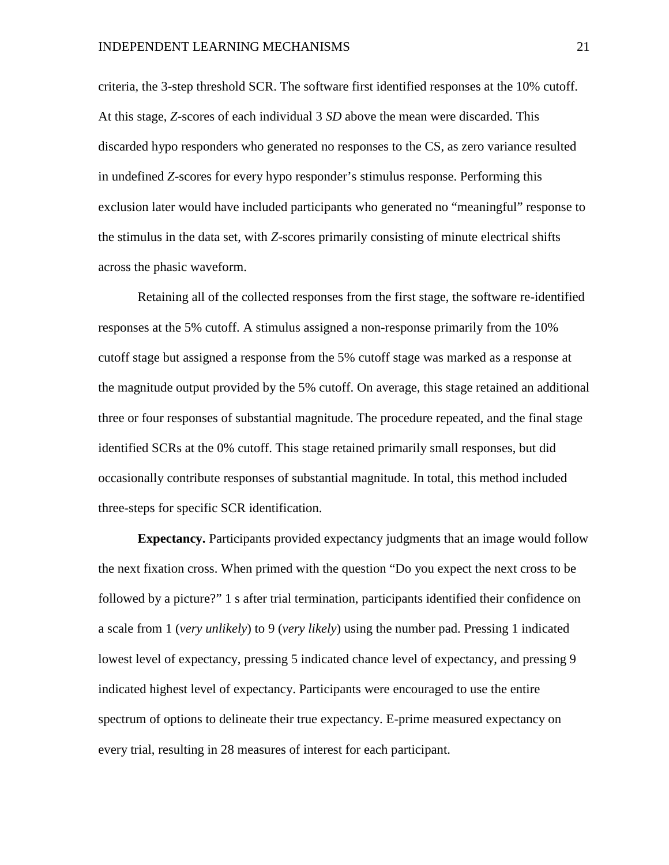criteria, the 3-step threshold SCR. The software first identified responses at the 10% cutoff. At this stage, *Z*-scores of each individual 3 *SD* above the mean were discarded. This discarded hypo responders who generated no responses to the CS, as zero variance resulted in undefined *Z*-scores for every hypo responder's stimulus response. Performing this exclusion later would have included participants who generated no "meaningful" response to the stimulus in the data set, with *Z*-scores primarily consisting of minute electrical shifts across the phasic waveform.

Retaining all of the collected responses from the first stage, the software re-identified responses at the 5% cutoff. A stimulus assigned a non-response primarily from the 10% cutoff stage but assigned a response from the 5% cutoff stage was marked as a response at the magnitude output provided by the 5% cutoff. On average, this stage retained an additional three or four responses of substantial magnitude. The procedure repeated, and the final stage identified SCRs at the 0% cutoff. This stage retained primarily small responses, but did occasionally contribute responses of substantial magnitude. In total, this method included three-steps for specific SCR identification.

**Expectancy.** Participants provided expectancy judgments that an image would follow the next fixation cross. When primed with the question "Do you expect the next cross to be followed by a picture?" 1 s after trial termination, participants identified their confidence on a scale from 1 (*very unlikely*) to 9 (*very likely*) using the number pad. Pressing 1 indicated lowest level of expectancy, pressing 5 indicated chance level of expectancy, and pressing 9 indicated highest level of expectancy. Participants were encouraged to use the entire spectrum of options to delineate their true expectancy. E-prime measured expectancy on every trial, resulting in 28 measures of interest for each participant.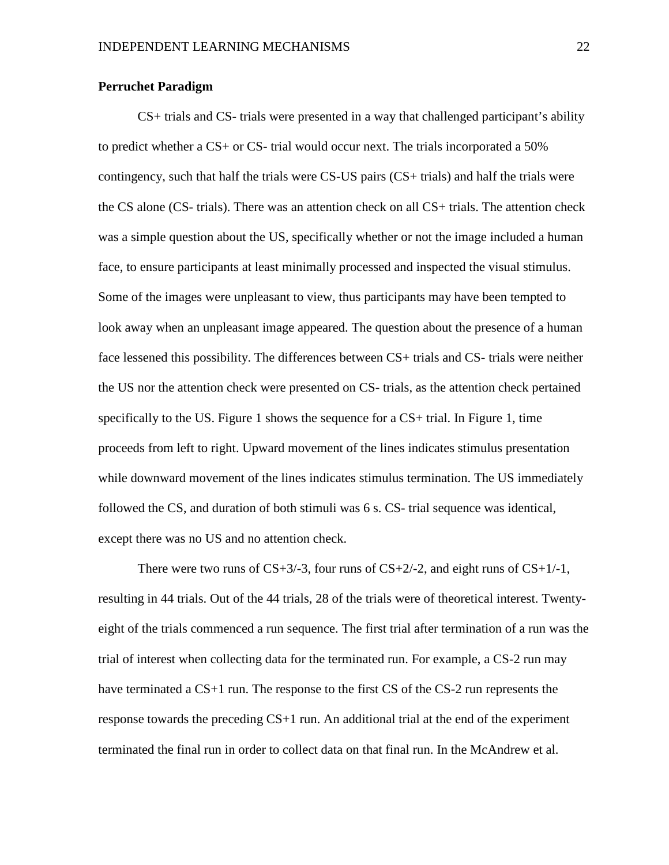#### **Perruchet Paradigm**

CS+ trials and CS- trials were presented in a way that challenged participant's ability to predict whether a CS+ or CS- trial would occur next. The trials incorporated a 50% contingency, such that half the trials were CS-US pairs (CS+ trials) and half the trials were the CS alone (CS- trials). There was an attention check on all CS+ trials. The attention check was a simple question about the US, specifically whether or not the image included a human face, to ensure participants at least minimally processed and inspected the visual stimulus. Some of the images were unpleasant to view, thus participants may have been tempted to look away when an unpleasant image appeared. The question about the presence of a human face lessened this possibility. The differences between CS+ trials and CS- trials were neither the US nor the attention check were presented on CS- trials, as the attention check pertained specifically to the US. Figure 1 shows the sequence for a CS+ trial. In Figure 1, time proceeds from left to right. Upward movement of the lines indicates stimulus presentation while downward movement of the lines indicates stimulus termination. The US immediately followed the CS, and duration of both stimuli was 6 s. CS- trial sequence was identical, except there was no US and no attention check.

There were two runs of  $CS+3/3$ , four runs of  $CS+2/2$ , and eight runs of  $CS+1/1$ , resulting in 44 trials. Out of the 44 trials, 28 of the trials were of theoretical interest. Twentyeight of the trials commenced a run sequence. The first trial after termination of a run was the trial of interest when collecting data for the terminated run. For example, a CS-2 run may have terminated a CS+1 run. The response to the first CS of the CS-2 run represents the response towards the preceding CS+1 run. An additional trial at the end of the experiment terminated the final run in order to collect data on that final run. In the McAndrew et al.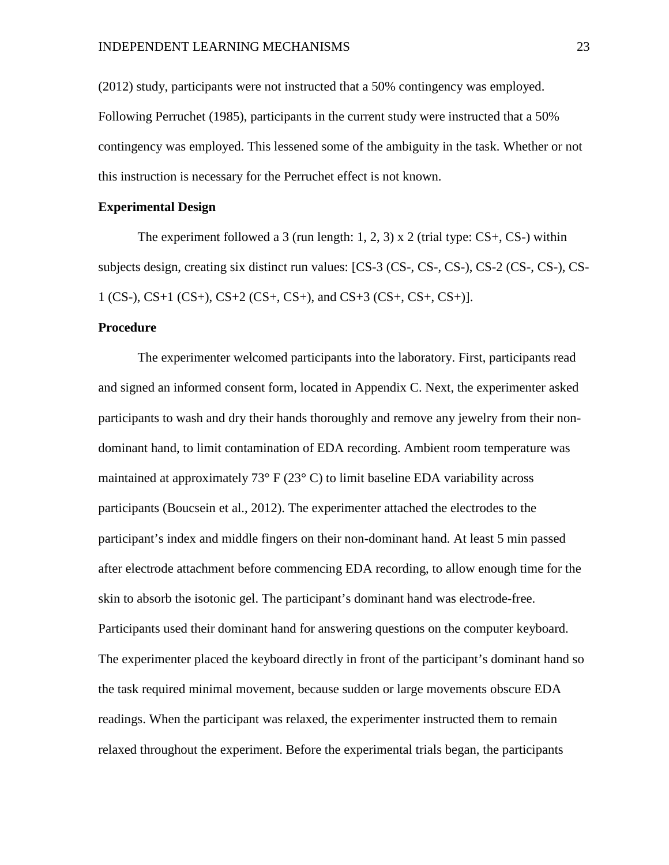(2012) study, participants were not instructed that a 50% contingency was employed. Following Perruchet (1985), participants in the current study were instructed that a 50% contingency was employed. This lessened some of the ambiguity in the task. Whether or not this instruction is necessary for the Perruchet effect is not known.

#### **Experimental Design**

The experiment followed a 3 (run length:  $1, 2, 3$ ) x 2 (trial type:  $CS$ +,  $CS$ -) within subjects design, creating six distinct run values: [CS-3 (CS-, CS-, CS-), CS-2 (CS-, CS-), CS-1 (CS-), CS+1 (CS+), CS+2 (CS+, CS+), and CS+3 (CS+, CS+, CS+)].

#### **Procedure**

The experimenter welcomed participants into the laboratory. First, participants read and signed an informed consent form, located in Appendix C. Next, the experimenter asked participants to wash and dry their hands thoroughly and remove any jewelry from their nondominant hand, to limit contamination of EDA recording. Ambient room temperature was maintained at approximately  $73^{\circ}$  F ( $23^{\circ}$  C) to limit baseline EDA variability across participants (Boucsein et al., 2012). The experimenter attached the electrodes to the participant's index and middle fingers on their non-dominant hand. At least 5 min passed after electrode attachment before commencing EDA recording, to allow enough time for the skin to absorb the isotonic gel. The participant's dominant hand was electrode-free. Participants used their dominant hand for answering questions on the computer keyboard. The experimenter placed the keyboard directly in front of the participant's dominant hand so the task required minimal movement, because sudden or large movements obscure EDA readings. When the participant was relaxed, the experimenter instructed them to remain relaxed throughout the experiment. Before the experimental trials began, the participants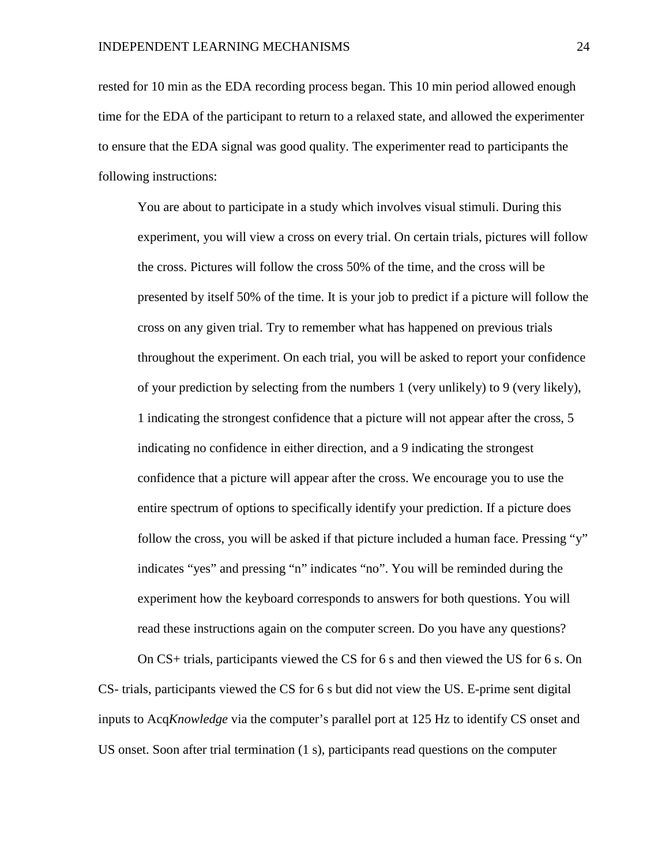rested for 10 min as the EDA recording process began. This 10 min period allowed enough time for the EDA of the participant to return to a relaxed state, and allowed the experimenter to ensure that the EDA signal was good quality. The experimenter read to participants the following instructions:

You are about to participate in a study which involves visual stimuli. During this experiment, you will view a cross on every trial. On certain trials, pictures will follow the cross. Pictures will follow the cross 50% of the time, and the cross will be presented by itself 50% of the time. It is your job to predict if a picture will follow the cross on any given trial. Try to remember what has happened on previous trials throughout the experiment. On each trial, you will be asked to report your confidence of your prediction by selecting from the numbers 1 (very unlikely) to 9 (very likely), 1 indicating the strongest confidence that a picture will not appear after the cross, 5 indicating no confidence in either direction, and a 9 indicating the strongest confidence that a picture will appear after the cross. We encourage you to use the entire spectrum of options to specifically identify your prediction. If a picture does follow the cross, you will be asked if that picture included a human face. Pressing "y" indicates "yes" and pressing "n" indicates "no". You will be reminded during the experiment how the keyboard corresponds to answers for both questions. You will read these instructions again on the computer screen. Do you have any questions?

On CS+ trials, participants viewed the CS for 6 s and then viewed the US for 6 s. On CS- trials, participants viewed the CS for 6 s but did not view the US. E-prime sent digital inputs to Acq*Knowledge* via the computer's parallel port at 125 Hz to identify CS onset and US onset. Soon after trial termination (1 s), participants read questions on the computer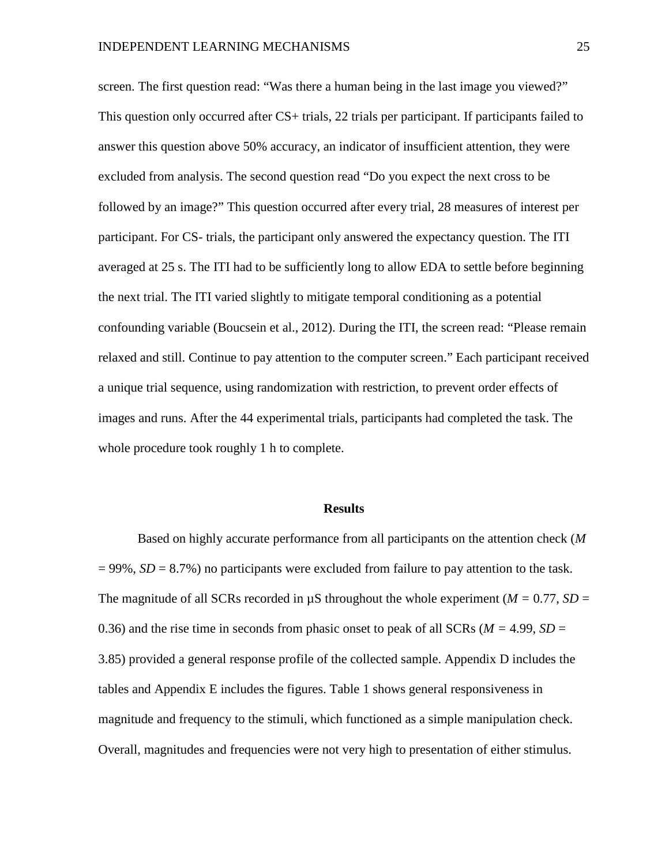screen. The first question read: "Was there a human being in the last image you viewed?" This question only occurred after CS+ trials, 22 trials per participant. If participants failed to answer this question above 50% accuracy, an indicator of insufficient attention, they were excluded from analysis. The second question read "Do you expect the next cross to be followed by an image?" This question occurred after every trial, 28 measures of interest per participant. For CS- trials, the participant only answered the expectancy question. The ITI averaged at 25 s. The ITI had to be sufficiently long to allow EDA to settle before beginning the next trial. The ITI varied slightly to mitigate temporal conditioning as a potential confounding variable (Boucsein et al., 2012). During the ITI, the screen read: "Please remain relaxed and still. Continue to pay attention to the computer screen." Each participant received a unique trial sequence, using randomization with restriction, to prevent order effects of images and runs. After the 44 experimental trials, participants had completed the task. The whole procedure took roughly 1 h to complete.

#### **Results**

Based on highly accurate performance from all participants on the attention check (*M*  = 99%, *SD* = 8.7%) no participants were excluded from failure to pay attention to the task. The magnitude of all SCRs recorded in  $\mu$ S throughout the whole experiment ( $M = 0.77$ , SD = 0.36) and the rise time in seconds from phasic onset to peak of all SCRs (*M =* 4.99, *SD* = 3.85) provided a general response profile of the collected sample. Appendix D includes the tables and Appendix E includes the figures. Table 1 shows general responsiveness in magnitude and frequency to the stimuli, which functioned as a simple manipulation check. Overall, magnitudes and frequencies were not very high to presentation of either stimulus.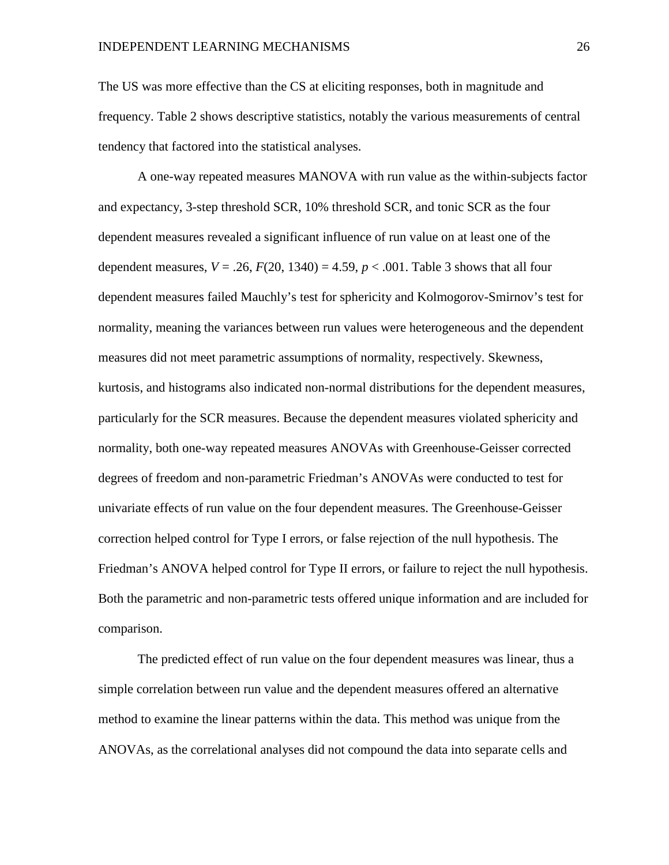The US was more effective than the CS at eliciting responses, both in magnitude and frequency. Table 2 shows descriptive statistics, notably the various measurements of central tendency that factored into the statistical analyses.

A one-way repeated measures MANOVA with run value as the within-subjects factor and expectancy, 3-step threshold SCR, 10% threshold SCR, and tonic SCR as the four dependent measures revealed a significant influence of run value on at least one of the dependent measures,  $V = .26$ ,  $F(20, 1340) = 4.59$ ,  $p < .001$ . Table 3 shows that all four dependent measures failed Mauchly's test for sphericity and Kolmogorov-Smirnov's test for normality, meaning the variances between run values were heterogeneous and the dependent measures did not meet parametric assumptions of normality, respectively. Skewness, kurtosis, and histograms also indicated non-normal distributions for the dependent measures, particularly for the SCR measures. Because the dependent measures violated sphericity and normality, both one-way repeated measures ANOVAs with Greenhouse-Geisser corrected degrees of freedom and non-parametric Friedman's ANOVAs were conducted to test for univariate effects of run value on the four dependent measures. The Greenhouse-Geisser correction helped control for Type I errors, or false rejection of the null hypothesis. The Friedman's ANOVA helped control for Type II errors, or failure to reject the null hypothesis. Both the parametric and non-parametric tests offered unique information and are included for comparison.

The predicted effect of run value on the four dependent measures was linear, thus a simple correlation between run value and the dependent measures offered an alternative method to examine the linear patterns within the data. This method was unique from the ANOVAs, as the correlational analyses did not compound the data into separate cells and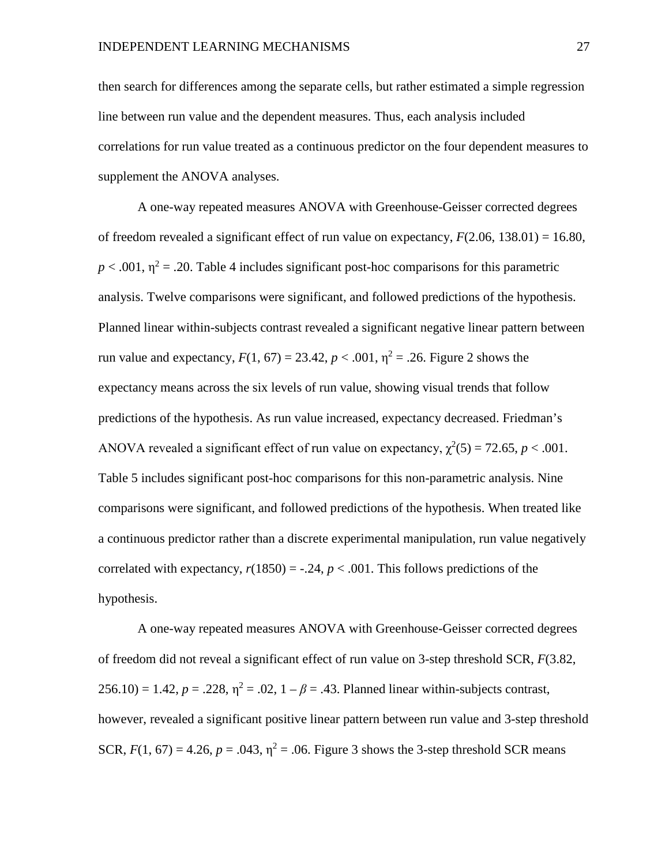then search for differences among the separate cells, but rather estimated a simple regression line between run value and the dependent measures. Thus, each analysis included correlations for run value treated as a continuous predictor on the four dependent measures to supplement the ANOVA analyses.

A one-way repeated measures ANOVA with Greenhouse-Geisser corrected degrees of freedom revealed a significant effect of run value on expectancy, *F*(2.06, 138.01) = 16.80,  $p < .001$ ,  $\eta^2 = .20$ . Table 4 includes significant post-hoc comparisons for this parametric analysis. Twelve comparisons were significant, and followed predictions of the hypothesis. Planned linear within-subjects contrast revealed a significant negative linear pattern between run value and expectancy,  $F(1, 67) = 23.42$ ,  $p < .001$ ,  $\eta^2 = .26$ . Figure 2 shows the expectancy means across the six levels of run value, showing visual trends that follow predictions of the hypothesis. As run value increased, expectancy decreased. Friedman's ANOVA revealed a significant effect of run value on expectancy,  $\chi^2(5) = 72.65$ ,  $p < .001$ . Table 5 includes significant post-hoc comparisons for this non-parametric analysis. Nine comparisons were significant, and followed predictions of the hypothesis. When treated like a continuous predictor rather than a discrete experimental manipulation, run value negatively correlated with expectancy,  $r(1850) = -.24$ ,  $p < .001$ . This follows predictions of the hypothesis.

A one-way repeated measures ANOVA with Greenhouse-Geisser corrected degrees of freedom did not reveal a significant effect of run value on 3-step threshold SCR, *F*(3.82,  $256.10 = 1.42, p = .228, \eta^2 = .02, 1 - \beta = .43$ . Planned linear within-subjects contrast, however, revealed a significant positive linear pattern between run value and 3-step threshold SCR,  $F(1, 67) = 4.26$ ,  $p = .043$ ,  $\eta^2 = .06$ . Figure 3 shows the 3-step threshold SCR means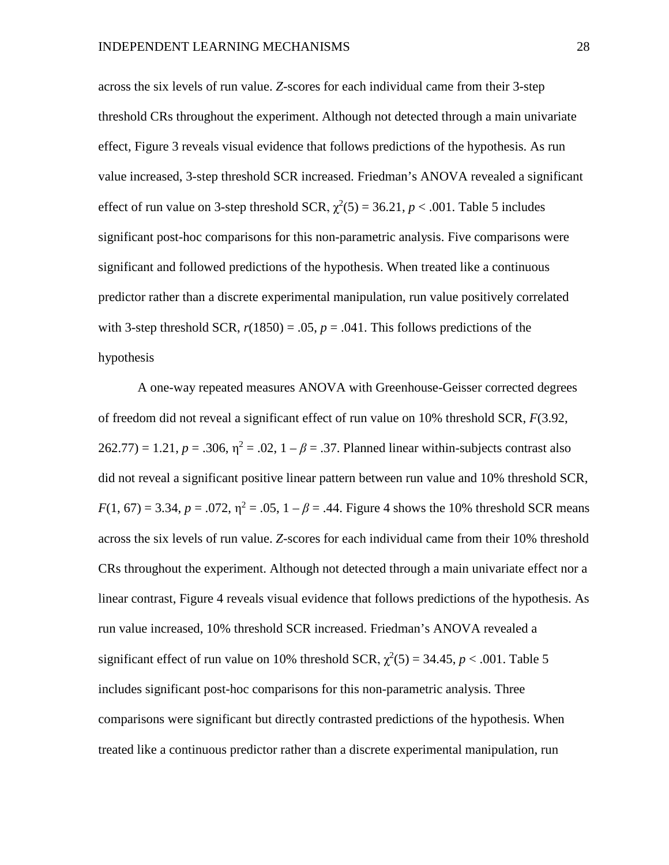across the six levels of run value. *Z*-scores for each individual came from their 3-step threshold CRs throughout the experiment. Although not detected through a main univariate effect, Figure 3 reveals visual evidence that follows predictions of the hypothesis. As run value increased, 3-step threshold SCR increased. Friedman's ANOVA revealed a significant effect of run value on 3-step threshold SCR,  $\chi^2(5) = 36.21$ ,  $p < .001$ . Table 5 includes significant post-hoc comparisons for this non-parametric analysis. Five comparisons were significant and followed predictions of the hypothesis. When treated like a continuous predictor rather than a discrete experimental manipulation, run value positively correlated with 3-step threshold SCR,  $r(1850) = .05$ ,  $p = .041$ . This follows predictions of the hypothesis

A one-way repeated measures ANOVA with Greenhouse-Geisser corrected degrees of freedom did not reveal a significant effect of run value on 10% threshold SCR, *F*(3.92,  $262.77$ ) = 1.21,  $p = .306$ ,  $\eta^2 = .02$ ,  $1 - \beta = .37$ . Planned linear within-subjects contrast also did not reveal a significant positive linear pattern between run value and 10% threshold SCR, *F*(1, 67) = 3.34, *p* = .072,  $\eta^2$  = .05, 1 –  $\beta$  = .44. Figure 4 shows the 10% threshold SCR means across the six levels of run value. *Z*-scores for each individual came from their 10% threshold CRs throughout the experiment. Although not detected through a main univariate effect nor a linear contrast, Figure 4 reveals visual evidence that follows predictions of the hypothesis. As run value increased, 10% threshold SCR increased. Friedman's ANOVA revealed a significant effect of run value on 10% threshold SCR,  $\chi^2(5) = 34.45$ ,  $p < .001$ . Table 5 includes significant post-hoc comparisons for this non-parametric analysis. Three comparisons were significant but directly contrasted predictions of the hypothesis. When treated like a continuous predictor rather than a discrete experimental manipulation, run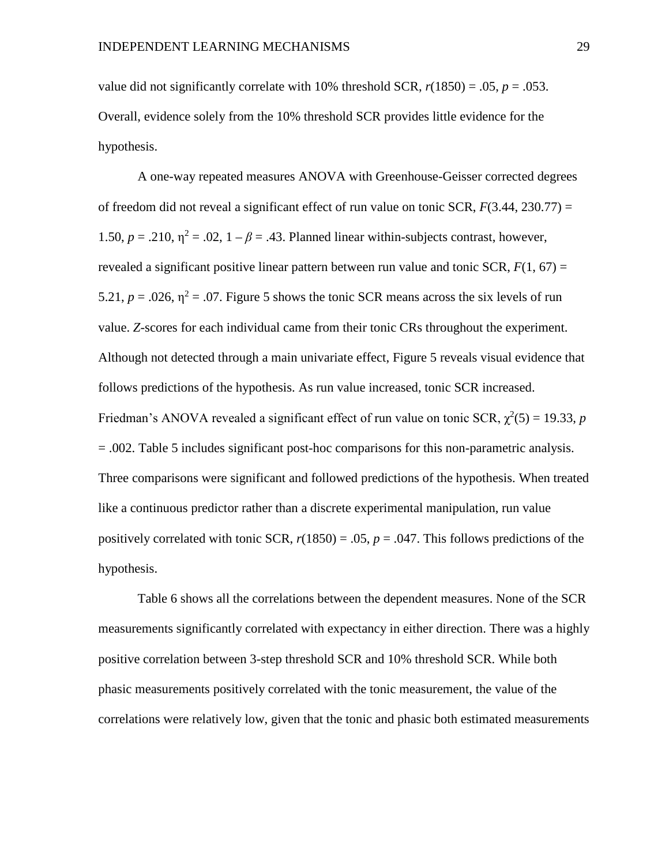value did not significantly correlate with 10% threshold SCR,  $r(1850) = .05$ ,  $p = .053$ . Overall, evidence solely from the 10% threshold SCR provides little evidence for the hypothesis.

A one-way repeated measures ANOVA with Greenhouse-Geisser corrected degrees of freedom did not reveal a significant effect of run value on tonic SCR, *F*(3.44, 230.77) = 1.50,  $p = .210$ ,  $\eta^2 = .02$ ,  $1 - \beta = .43$ . Planned linear within-subjects contrast, however, revealed a significant positive linear pattern between run value and tonic SCR,  $F(1, 67) =$ 5.21,  $p = .026$ ,  $\eta^2 = .07$ . Figure 5 shows the tonic SCR means across the six levels of run value. *Z*-scores for each individual came from their tonic CRs throughout the experiment. Although not detected through a main univariate effect, Figure 5 reveals visual evidence that follows predictions of the hypothesis. As run value increased, tonic SCR increased. Friedman's ANOVA revealed a significant effect of run value on tonic SCR,  $\chi^2(5) = 19.33$ , *p* = .002. Table 5 includes significant post-hoc comparisons for this non-parametric analysis. Three comparisons were significant and followed predictions of the hypothesis. When treated like a continuous predictor rather than a discrete experimental manipulation, run value positively correlated with tonic SCR,  $r(1850) = .05$ ,  $p = .047$ . This follows predictions of the hypothesis.

Table 6 shows all the correlations between the dependent measures. None of the SCR measurements significantly correlated with expectancy in either direction. There was a highly positive correlation between 3-step threshold SCR and 10% threshold SCR. While both phasic measurements positively correlated with the tonic measurement, the value of the correlations were relatively low, given that the tonic and phasic both estimated measurements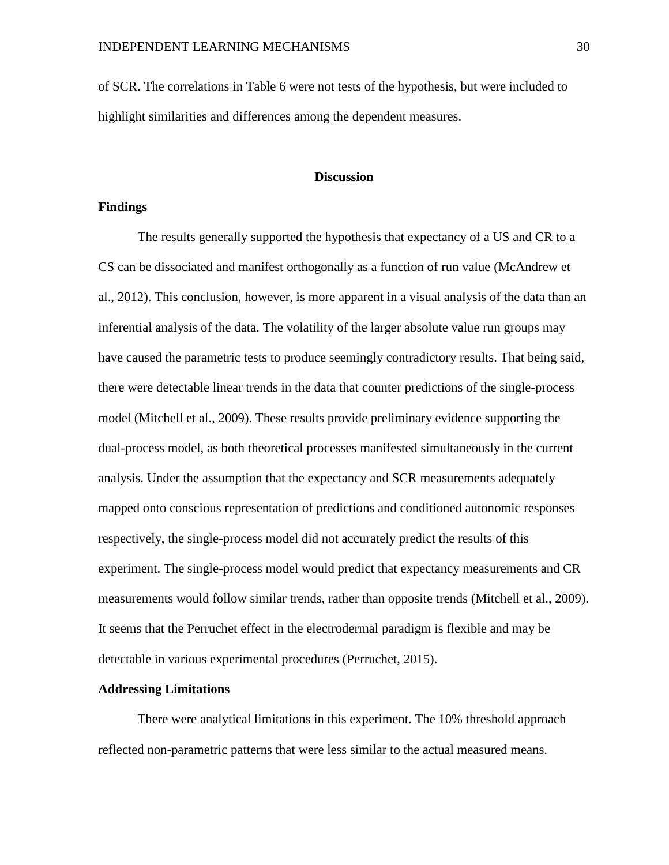of SCR. The correlations in Table 6 were not tests of the hypothesis, but were included to highlight similarities and differences among the dependent measures.

#### **Discussion**

#### **Findings**

The results generally supported the hypothesis that expectancy of a US and CR to a CS can be dissociated and manifest orthogonally as a function of run value (McAndrew et al., 2012). This conclusion, however, is more apparent in a visual analysis of the data than an inferential analysis of the data. The volatility of the larger absolute value run groups may have caused the parametric tests to produce seemingly contradictory results. That being said, there were detectable linear trends in the data that counter predictions of the single-process model (Mitchell et al., 2009). These results provide preliminary evidence supporting the dual-process model, as both theoretical processes manifested simultaneously in the current analysis. Under the assumption that the expectancy and SCR measurements adequately mapped onto conscious representation of predictions and conditioned autonomic responses respectively, the single-process model did not accurately predict the results of this experiment. The single-process model would predict that expectancy measurements and CR measurements would follow similar trends, rather than opposite trends (Mitchell et al., 2009). It seems that the Perruchet effect in the electrodermal paradigm is flexible and may be detectable in various experimental procedures (Perruchet, 2015).

#### **Addressing Limitations**

There were analytical limitations in this experiment. The 10% threshold approach reflected non-parametric patterns that were less similar to the actual measured means.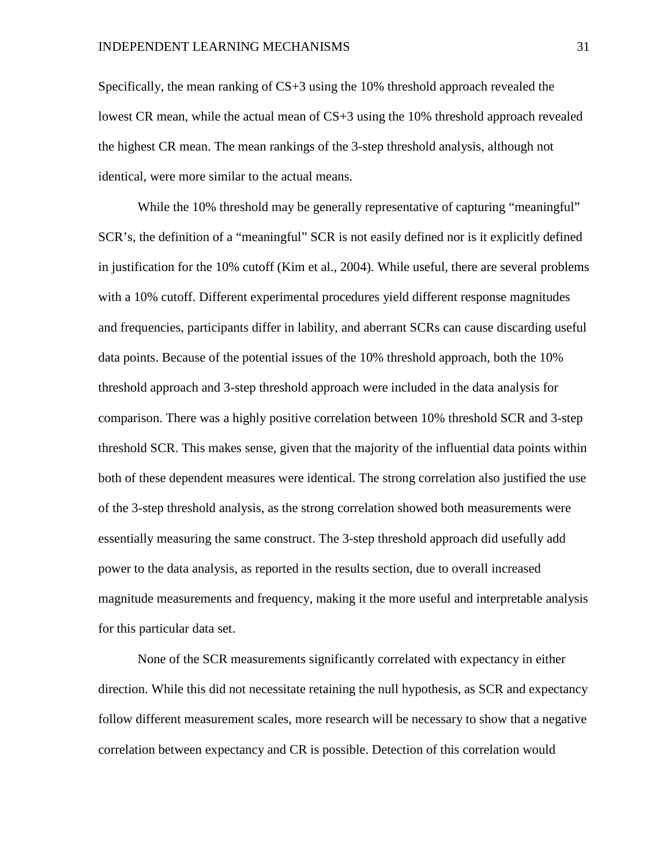Specifically, the mean ranking of CS+3 using the 10% threshold approach revealed the lowest CR mean, while the actual mean of CS+3 using the 10% threshold approach revealed the highest CR mean. The mean rankings of the 3-step threshold analysis, although not identical, were more similar to the actual means.

While the 10% threshold may be generally representative of capturing "meaningful" SCR's, the definition of a "meaningful" SCR is not easily defined nor is it explicitly defined in justification for the 10% cutoff (Kim et al., 2004). While useful, there are several problems with a 10% cutoff. Different experimental procedures yield different response magnitudes and frequencies, participants differ in lability, and aberrant SCRs can cause discarding useful data points. Because of the potential issues of the 10% threshold approach, both the 10% threshold approach and 3-step threshold approach were included in the data analysis for comparison. There was a highly positive correlation between 10% threshold SCR and 3-step threshold SCR. This makes sense, given that the majority of the influential data points within both of these dependent measures were identical. The strong correlation also justified the use of the 3-step threshold analysis, as the strong correlation showed both measurements were essentially measuring the same construct. The 3-step threshold approach did usefully add power to the data analysis, as reported in the results section, due to overall increased magnitude measurements and frequency, making it the more useful and interpretable analysis for this particular data set.

None of the SCR measurements significantly correlated with expectancy in either direction. While this did not necessitate retaining the null hypothesis, as SCR and expectancy follow different measurement scales, more research will be necessary to show that a negative correlation between expectancy and CR is possible. Detection of this correlation would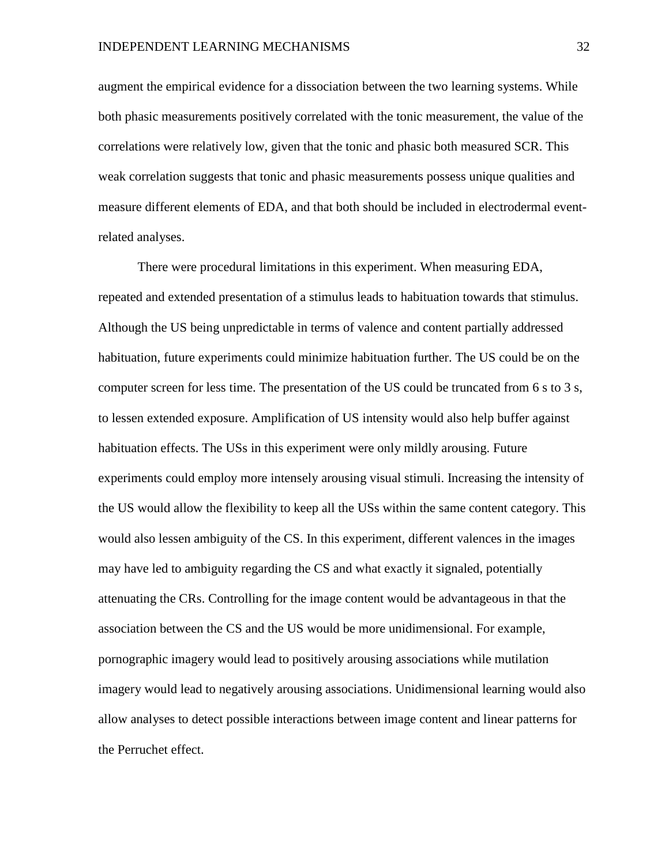augment the empirical evidence for a dissociation between the two learning systems. While both phasic measurements positively correlated with the tonic measurement, the value of the correlations were relatively low, given that the tonic and phasic both measured SCR. This weak correlation suggests that tonic and phasic measurements possess unique qualities and measure different elements of EDA, and that both should be included in electrodermal eventrelated analyses.

There were procedural limitations in this experiment. When measuring EDA, repeated and extended presentation of a stimulus leads to habituation towards that stimulus. Although the US being unpredictable in terms of valence and content partially addressed habituation, future experiments could minimize habituation further. The US could be on the computer screen for less time. The presentation of the US could be truncated from 6 s to 3 s, to lessen extended exposure. Amplification of US intensity would also help buffer against habituation effects. The USs in this experiment were only mildly arousing. Future experiments could employ more intensely arousing visual stimuli. Increasing the intensity of the US would allow the flexibility to keep all the USs within the same content category. This would also lessen ambiguity of the CS. In this experiment, different valences in the images may have led to ambiguity regarding the CS and what exactly it signaled, potentially attenuating the CRs. Controlling for the image content would be advantageous in that the association between the CS and the US would be more unidimensional. For example, pornographic imagery would lead to positively arousing associations while mutilation imagery would lead to negatively arousing associations. Unidimensional learning would also allow analyses to detect possible interactions between image content and linear patterns for the Perruchet effect.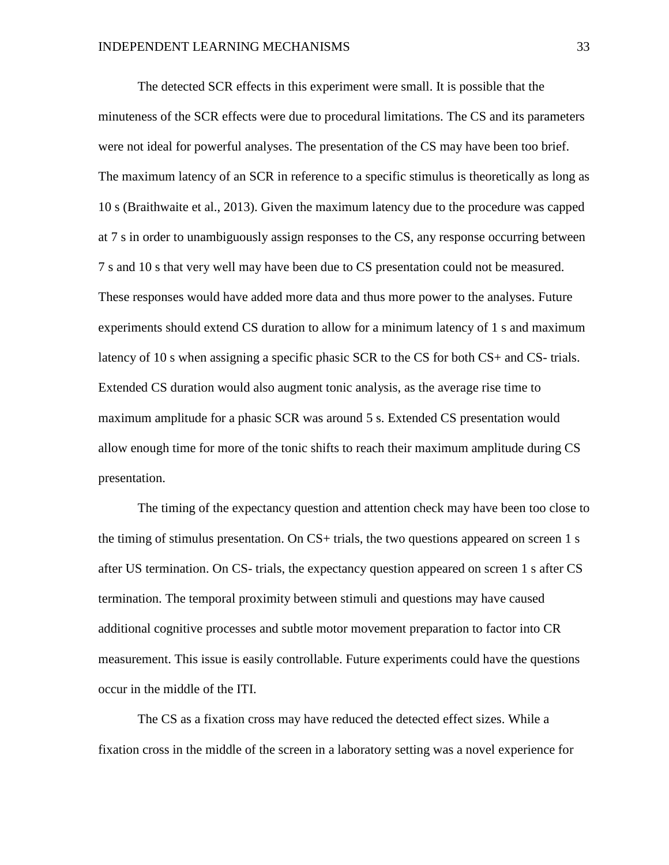The detected SCR effects in this experiment were small. It is possible that the minuteness of the SCR effects were due to procedural limitations. The CS and its parameters were not ideal for powerful analyses. The presentation of the CS may have been too brief. The maximum latency of an SCR in reference to a specific stimulus is theoretically as long as 10 s (Braithwaite et al., 2013). Given the maximum latency due to the procedure was capped at 7 s in order to unambiguously assign responses to the CS, any response occurring between 7 s and 10 s that very well may have been due to CS presentation could not be measured. These responses would have added more data and thus more power to the analyses. Future experiments should extend CS duration to allow for a minimum latency of 1 s and maximum latency of 10 s when assigning a specific phasic SCR to the CS for both CS+ and CS- trials. Extended CS duration would also augment tonic analysis, as the average rise time to maximum amplitude for a phasic SCR was around 5 s. Extended CS presentation would allow enough time for more of the tonic shifts to reach their maximum amplitude during CS presentation.

The timing of the expectancy question and attention check may have been too close to the timing of stimulus presentation. On CS+ trials, the two questions appeared on screen 1 s after US termination. On CS- trials, the expectancy question appeared on screen 1 s after CS termination. The temporal proximity between stimuli and questions may have caused additional cognitive processes and subtle motor movement preparation to factor into CR measurement. This issue is easily controllable. Future experiments could have the questions occur in the middle of the ITI.

The CS as a fixation cross may have reduced the detected effect sizes. While a fixation cross in the middle of the screen in a laboratory setting was a novel experience for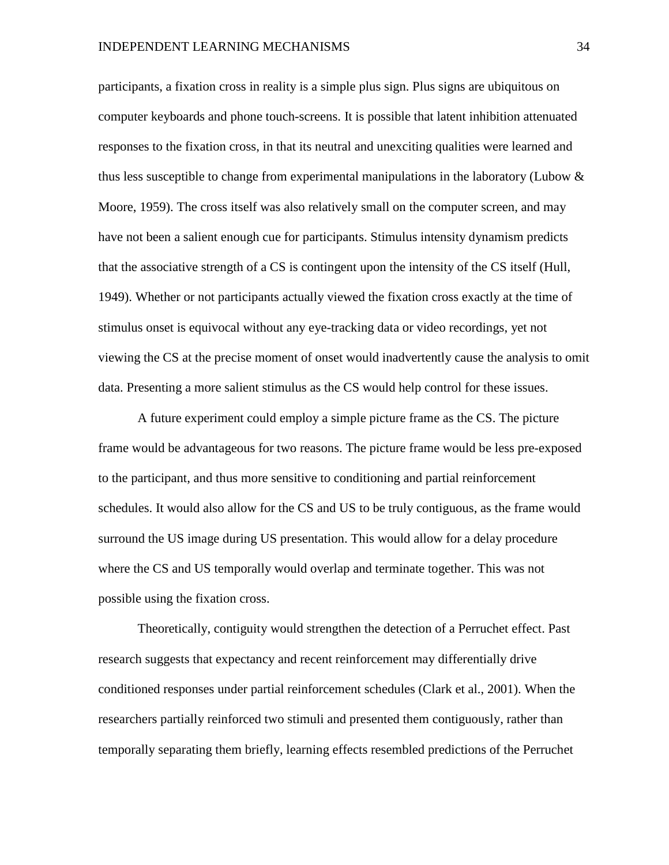#### INDEPENDENT LEARNING MECHANISMS 34

participants, a fixation cross in reality is a simple plus sign. Plus signs are ubiquitous on computer keyboards and phone touch-screens. It is possible that latent inhibition attenuated responses to the fixation cross, in that its neutral and unexciting qualities were learned and thus less susceptible to change from experimental manipulations in the laboratory (Lubow  $\&$ Moore, 1959). The cross itself was also relatively small on the computer screen, and may have not been a salient enough cue for participants. Stimulus intensity dynamism predicts that the associative strength of a CS is contingent upon the intensity of the CS itself (Hull, 1949). Whether or not participants actually viewed the fixation cross exactly at the time of stimulus onset is equivocal without any eye-tracking data or video recordings, yet not viewing the CS at the precise moment of onset would inadvertently cause the analysis to omit data. Presenting a more salient stimulus as the CS would help control for these issues.

A future experiment could employ a simple picture frame as the CS. The picture frame would be advantageous for two reasons. The picture frame would be less pre-exposed to the participant, and thus more sensitive to conditioning and partial reinforcement schedules. It would also allow for the CS and US to be truly contiguous, as the frame would surround the US image during US presentation. This would allow for a delay procedure where the CS and US temporally would overlap and terminate together. This was not possible using the fixation cross.

Theoretically, contiguity would strengthen the detection of a Perruchet effect. Past research suggests that expectancy and recent reinforcement may differentially drive conditioned responses under partial reinforcement schedules (Clark et al., 2001). When the researchers partially reinforced two stimuli and presented them contiguously, rather than temporally separating them briefly, learning effects resembled predictions of the Perruchet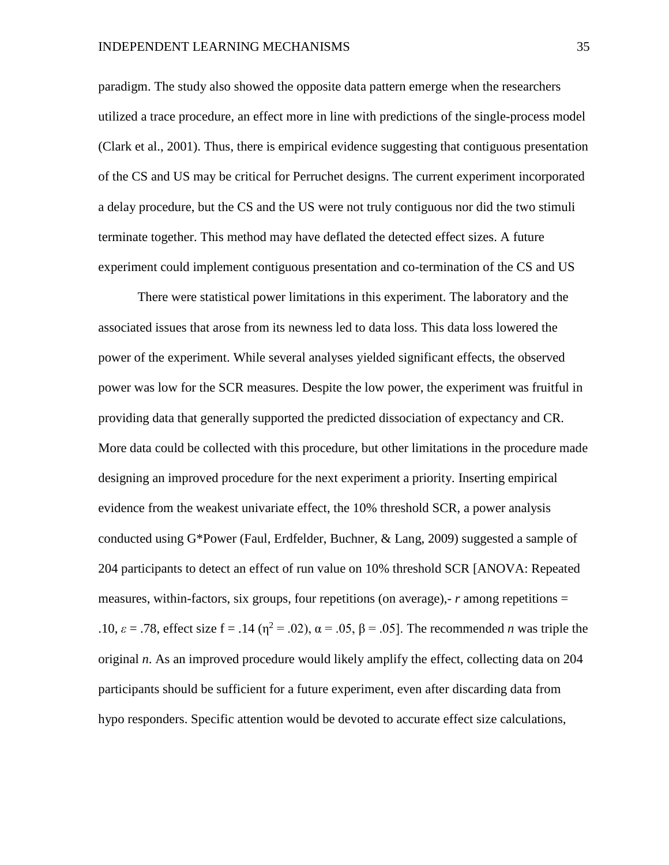#### INDEPENDENT LEARNING MECHANISMS 35

paradigm. The study also showed the opposite data pattern emerge when the researchers utilized a trace procedure, an effect more in line with predictions of the single-process model (Clark et al., 2001). Thus, there is empirical evidence suggesting that contiguous presentation of the CS and US may be critical for Perruchet designs. The current experiment incorporated a delay procedure, but the CS and the US were not truly contiguous nor did the two stimuli terminate together. This method may have deflated the detected effect sizes. A future experiment could implement contiguous presentation and co-termination of the CS and US

There were statistical power limitations in this experiment. The laboratory and the associated issues that arose from its newness led to data loss. This data loss lowered the power of the experiment. While several analyses yielded significant effects, the observed power was low for the SCR measures. Despite the low power, the experiment was fruitful in providing data that generally supported the predicted dissociation of expectancy and CR. More data could be collected with this procedure, but other limitations in the procedure made designing an improved procedure for the next experiment a priority. Inserting empirical evidence from the weakest univariate effect, the 10% threshold SCR, a power analysis conducted using G\*Power (Faul, Erdfelder, Buchner, & Lang, 2009) suggested a sample of 204 participants to detect an effect of run value on 10% threshold SCR [ANOVA: Repeated measures, within-factors, six groups, four repetitions (on average),- *r* among repetitions = .10,  $\varepsilon$  = .78, effect size f = .14 ( $\eta$ <sup>2</sup> = .02),  $\alpha$  = .05,  $\beta$  = .05]. The recommended *n* was triple the original *n*. As an improved procedure would likely amplify the effect, collecting data on 204 participants should be sufficient for a future experiment, even after discarding data from hypo responders. Specific attention would be devoted to accurate effect size calculations,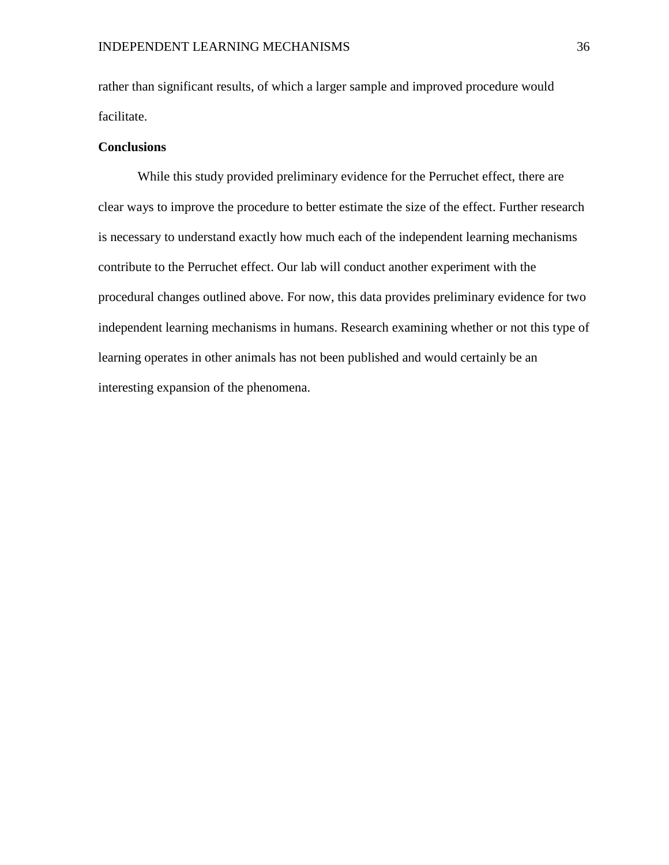rather than significant results, of which a larger sample and improved procedure would facilitate.

#### **Conclusions**

While this study provided preliminary evidence for the Perruchet effect, there are clear ways to improve the procedure to better estimate the size of the effect. Further research is necessary to understand exactly how much each of the independent learning mechanisms contribute to the Perruchet effect. Our lab will conduct another experiment with the procedural changes outlined above. For now, this data provides preliminary evidence for two independent learning mechanisms in humans. Research examining whether or not this type of learning operates in other animals has not been published and would certainly be an interesting expansion of the phenomena.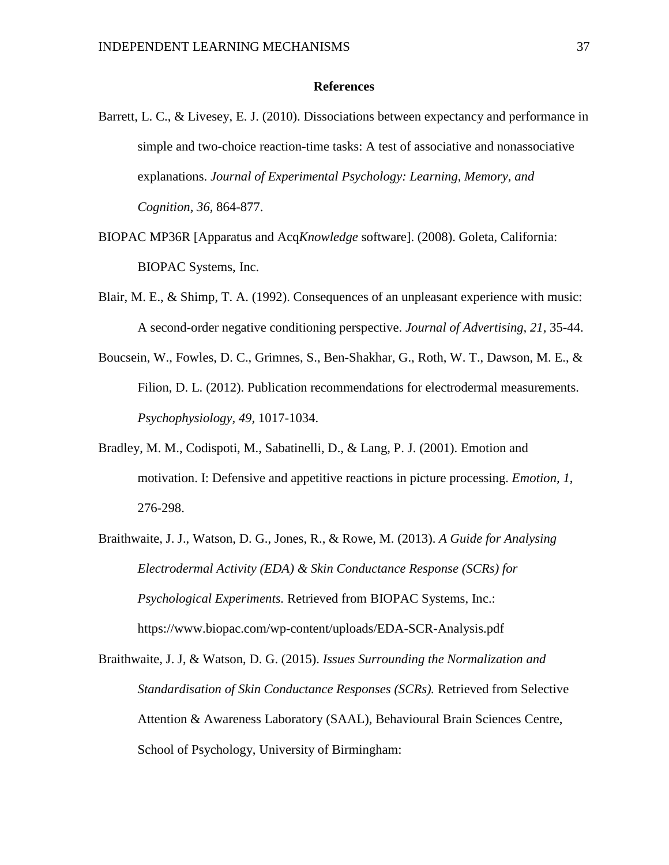#### **References**

- Barrett, L. C., & Livesey, E. J. (2010). Dissociations between expectancy and performance in simple and two-choice reaction-time tasks: A test of associative and nonassociative explanations. *Journal of Experimental Psychology: Learning, Memory, and Cognition, 36,* 864-877.
- BIOPAC MP36R [Apparatus and Acq*Knowledge* software]. (2008). Goleta, California: BIOPAC Systems, Inc.
- Blair, M. E., & Shimp, T. A. (1992). Consequences of an unpleasant experience with music: A second-order negative conditioning perspective. *Journal of Advertising, 21,* 35-44.
- Boucsein, W., Fowles, D. C., Grimnes, S., Ben-Shakhar, G., Roth, W. T., Dawson, M. E., & Filion, D. L. (2012). Publication recommendations for electrodermal measurements. *Psychophysiology, 49,* 1017-1034.
- Bradley, M. M., Codispoti, M., Sabatinelli, D., & Lang, P. J. (2001). Emotion and motivation. I: Defensive and appetitive reactions in picture processing. *Emotion, 1*, 276-298.
- Braithwaite, J. J., Watson, D. G., Jones, R., & Rowe, M. (2013). *A Guide for Analysing Electrodermal Activity (EDA) & Skin Conductance Response (SCRs) for Psychological Experiments.* Retrieved from BIOPAC Systems, Inc.: https://www.biopac.com/wp-content/uploads/EDA-SCR-Analysis.pdf
- Braithwaite, J. J, & Watson, D. G. (2015). *Issues Surrounding the Normalization and Standardisation of Skin Conductance Responses (SCRs).* Retrieved from Selective Attention & Awareness Laboratory (SAAL), Behavioural Brain Sciences Centre, School of Psychology, University of Birmingham: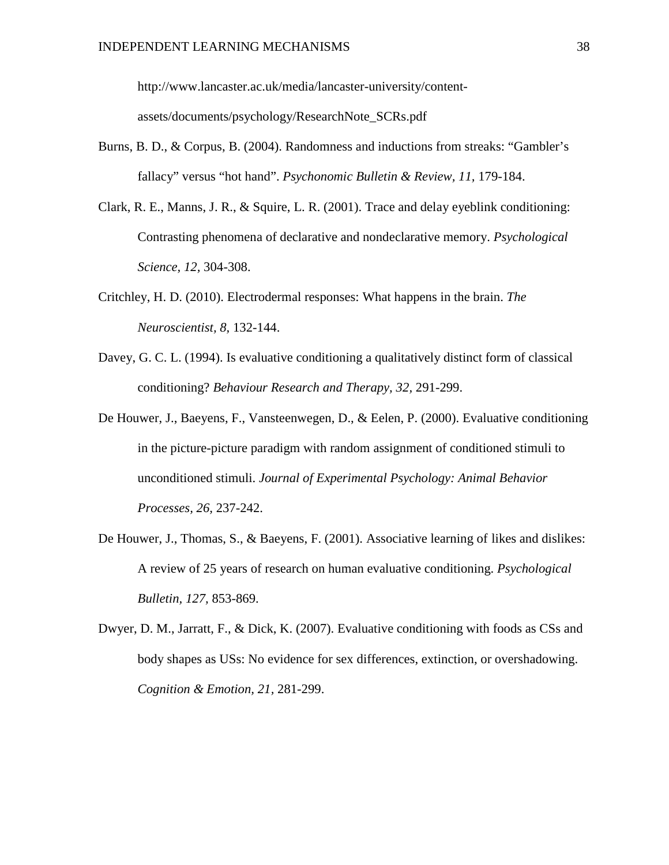http://www.lancaster.ac.uk/media/lancaster-university/contentassets/documents/psychology/ResearchNote\_SCRs.pdf

- Burns, B. D., & Corpus, B. (2004). Randomness and inductions from streaks: "Gambler's fallacy" versus "hot hand". *Psychonomic Bulletin & Review, 11,* 179-184.
- Clark, R. E., Manns, J. R., & Squire, L. R. (2001). Trace and delay eyeblink conditioning: Contrasting phenomena of declarative and nondeclarative memory. *Psychological Science, 12,* 304-308.
- Critchley, H. D. (2010). Electrodermal responses: What happens in the brain. *The Neuroscientist, 8,* 132-144.
- Davey, G. C. L. (1994). Is evaluative conditioning a qualitatively distinct form of classical conditioning? *Behaviour Research and Therapy, 32,* 291-299.
- De Houwer, J., Baeyens, F., Vansteenwegen, D., & Eelen, P. (2000). Evaluative conditioning in the picture-picture paradigm with random assignment of conditioned stimuli to unconditioned stimuli. *Journal of Experimental Psychology: Animal Behavior Processes, 26,* 237-242.
- De Houwer, J., Thomas, S., & Baeyens, F. (2001). Associative learning of likes and dislikes: A review of 25 years of research on human evaluative conditioning. *Psychological Bulletin, 127,* 853-869.
- Dwyer, D. M., Jarratt, F., & Dick, K. (2007). Evaluative conditioning with foods as CSs and body shapes as USs: No evidence for sex differences, extinction, or overshadowing. *Cognition & Emotion, 21,* 281-299.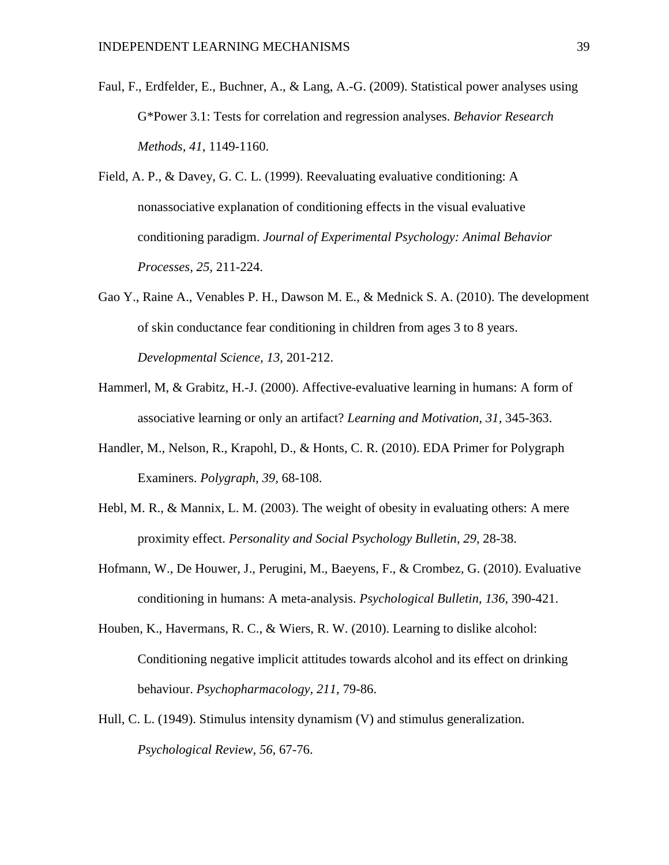- Faul, F., Erdfelder, E., Buchner, A., & Lang, A.-G. (2009). Statistical power analyses using G\*Power 3.1: Tests for correlation and regression analyses. *Behavior Research Methods*, *41*, 1149-1160.
- Field, A. P., & Davey, G. C. L. (1999). Reevaluating evaluative conditioning: A nonassociative explanation of conditioning effects in the visual evaluative conditioning paradigm. *Journal of Experimental Psychology: Animal Behavior Processes, 25,* 211-224.
- Gao Y., Raine A., Venables P. H., Dawson M. E., & Mednick S. A. (2010). The development of skin conductance fear conditioning in children from ages 3 to 8 years. *Developmental Science, 13,* 201-212.
- Hammerl, M, & Grabitz, H.-J. (2000). Affective-evaluative learning in humans: A form of associative learning or only an artifact? *Learning and Motivation, 31,* 345-363.
- Handler, M., Nelson, R., Krapohl, D., & Honts, C. R. (2010). EDA Primer for Polygraph Examiners. *Polygraph, 39,* 68-108.
- Hebl, M. R., & Mannix, L. M. (2003). The weight of obesity in evaluating others: A mere proximity effect. *Personality and Social Psychology Bulletin, 29,* 28-38.
- Hofmann, W., De Houwer, J., Perugini, M., Baeyens, F., & Crombez, G. (2010). Evaluative conditioning in humans: A meta-analysis. *Psychological Bulletin, 136,* 390-421.
- Houben, K., Havermans, R. C., & Wiers, R. W. (2010). Learning to dislike alcohol: Conditioning negative implicit attitudes towards alcohol and its effect on drinking behaviour. *Psychopharmacology, 211,* 79-86.
- Hull, C. L. (1949). Stimulus intensity dynamism (V) and stimulus generalization. *Psychological Review, 56,* 67-76.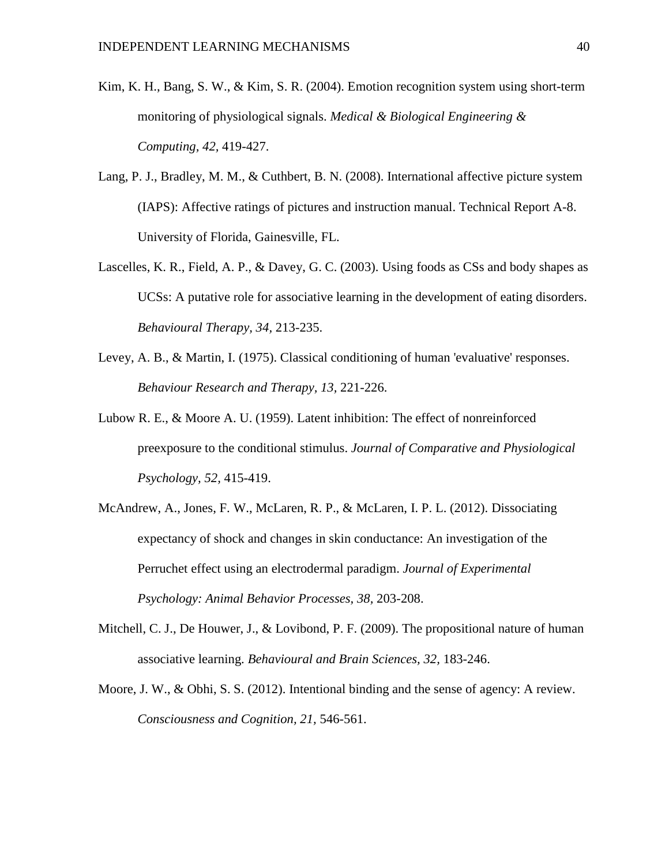- Kim, K. H., Bang, S. W., & Kim, S. R. (2004). Emotion recognition system using short-term monitoring of physiological signals. *Medical & Biological Engineering & Computing, 42,* 419-427.
- Lang, P. J., Bradley, M. M., & Cuthbert, B. N. (2008). International affective picture system (IAPS): Affective ratings of pictures and instruction manual. Technical Report A-8. University of Florida, Gainesville, FL.
- Lascelles, K. R., Field, A. P., & Davey, G. C. (2003). Using foods as CSs and body shapes as UCSs: A putative role for associative learning in the development of eating disorders. *Behavioural Therapy, 34,* 213-235.
- Levey, A. B., & Martin, I. (1975). Classical conditioning of human 'evaluative' responses. *Behaviour Research and Therapy, 13,* 221-226.
- Lubow R. E., & Moore A. U. (1959). Latent inhibition: The effect of nonreinforced preexposure to the conditional stimulus. *Journal of Comparative and Physiological Psychology, 52,* 415-419.
- McAndrew, A., Jones, F. W., McLaren, R. P., & McLaren, I. P. L. (2012). Dissociating expectancy of shock and changes in skin conductance: An investigation of the Perruchet effect using an electrodermal paradigm. *Journal of Experimental Psychology: Animal Behavior Processes, 38,* 203-208.
- Mitchell, C. J., De Houwer, J., & Lovibond, P. F. (2009). The propositional nature of human associative learning. *Behavioural and Brain Sciences, 32,* 183-246.
- Moore, J. W., & Obhi, S. S. (2012). Intentional binding and the sense of agency: A review. *Consciousness and Cognition, 21,* 546-561.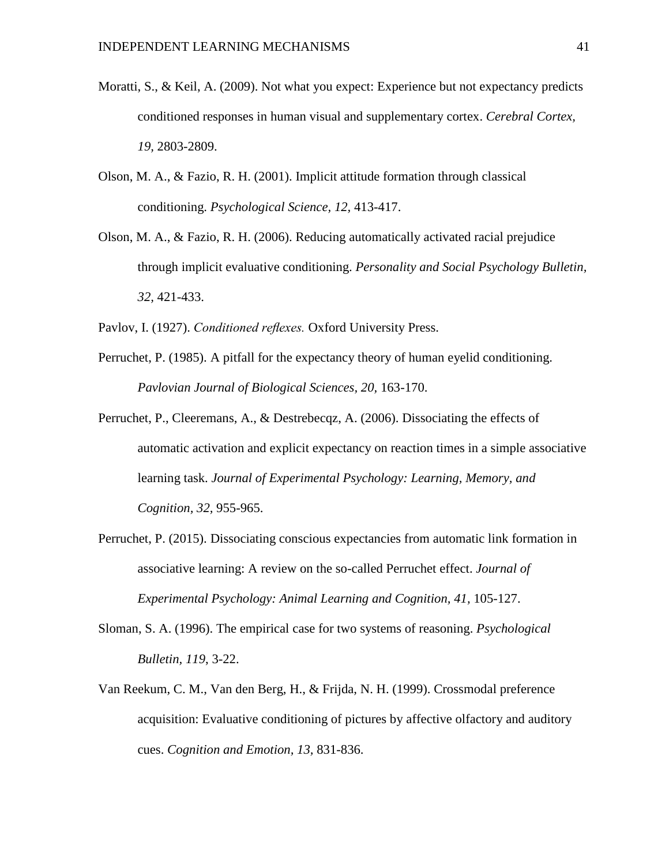- Moratti, S., & Keil, A. (2009). Not what you expect: Experience but not expectancy predicts conditioned responses in human visual and supplementary cortex. *Cerebral Cortex, 19,* 2803-2809.
- Olson, M. A., & Fazio, R. H. (2001). Implicit attitude formation through classical conditioning. *Psychological Science, 12,* 413-417.
- Olson, M. A., & Fazio, R. H. (2006). Reducing automatically activated racial prejudice through implicit evaluative conditioning. *Personality and Social Psychology Bulletin, 32,* 421-433.
- Pavlov, I. (1927). *Conditioned reflexes.* Oxford University Press.
- Perruchet, P. (1985). A pitfall for the expectancy theory of human eyelid conditioning. *Pavlovian Journal of Biological Sciences, 20,* 163-170.
- Perruchet, P., Cleeremans, A., & Destrebecqz, A. (2006). Dissociating the effects of automatic activation and explicit expectancy on reaction times in a simple associative learning task. *Journal of Experimental Psychology: Learning, Memory, and Cognition, 32,* 955-965.
- Perruchet, P. (2015). Dissociating conscious expectancies from automatic link formation in associative learning: A review on the so-called Perruchet effect. *Journal of Experimental Psychology: Animal Learning and Cognition, 41, 105-127.*
- Sloman, S. A. (1996). The empirical case for two systems of reasoning. *Psychological Bulletin, 119*, 3-22.
- Van Reekum, C. M., Van den Berg, H., & Frijda, N. H. (1999). Crossmodal preference acquisition: Evaluative conditioning of pictures by affective olfactory and auditory cues. *Cognition and Emotion, 13,* 831-836.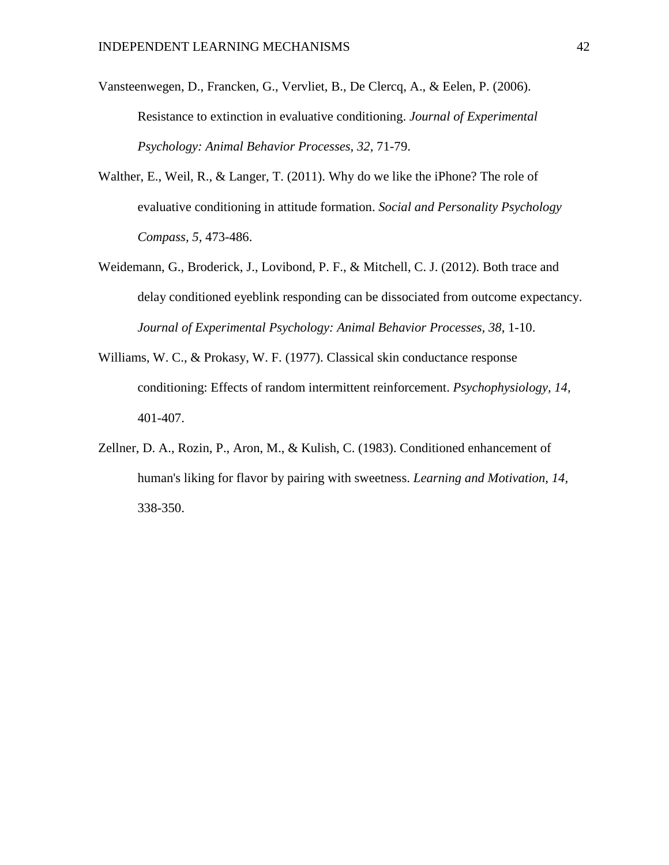- Vansteenwegen, D., Francken, G., Vervliet, B., De Clercq, A., & Eelen, P. (2006). Resistance to extinction in evaluative conditioning. *Journal of Experimental Psychology: Animal Behavior Processes, 32,* 71-79.
- Walther, E., Weil, R., & Langer, T. (2011). Why do we like the iPhone? The role of evaluative conditioning in attitude formation. *Social and Personality Psychology Compass, 5,* 473-486.
- Weidemann, G., Broderick, J., Lovibond, P. F., & Mitchell, C. J. (2012). Both trace and delay conditioned eyeblink responding can be dissociated from outcome expectancy. *Journal of Experimental Psychology: Animal Behavior Processes, 38,* 1-10.
- Williams, W. C., & Prokasy, W. F. (1977). Classical skin conductance response conditioning: Effects of random intermittent reinforcement. *Psychophysiology, 14,* 401-407.
- Zellner, D. A., Rozin, P., Aron, M., & Kulish, C. (1983). Conditioned enhancement of human's liking for flavor by pairing with sweetness. *Learning and Motivation, 14,* 338-350.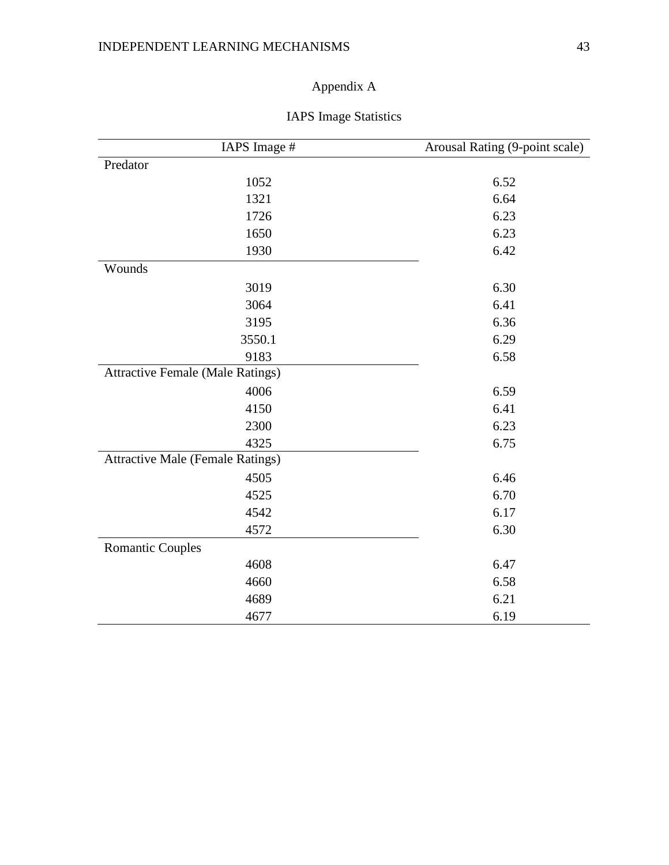# Appendix A

| IAPS Image #                            | Arousal Rating (9-point scale) |
|-----------------------------------------|--------------------------------|
| Predator                                |                                |
| 1052                                    | 6.52                           |
| 1321                                    | 6.64                           |
| 1726                                    | 6.23                           |
| 1650                                    | 6.23                           |
| 1930                                    | 6.42                           |
| Wounds                                  |                                |
| 3019                                    | 6.30                           |
| 3064                                    | 6.41                           |
| 3195                                    | 6.36                           |
| 3550.1                                  | 6.29                           |
| 9183                                    | 6.58                           |
| <b>Attractive Female (Male Ratings)</b> |                                |
| 4006                                    | 6.59                           |
| 4150                                    | 6.41                           |
| 2300                                    | 6.23                           |
| 4325                                    | 6.75                           |
| <b>Attractive Male (Female Ratings)</b> |                                |
| 4505                                    | 6.46                           |
| 4525                                    | 6.70                           |
| 4542                                    | 6.17                           |
| 4572                                    | 6.30                           |
| <b>Romantic Couples</b>                 |                                |
| 4608                                    | 6.47                           |
| 4660                                    | 6.58                           |
| 4689                                    | 6.21                           |
| 4677                                    | 6.19                           |

# IAPS Image Statistics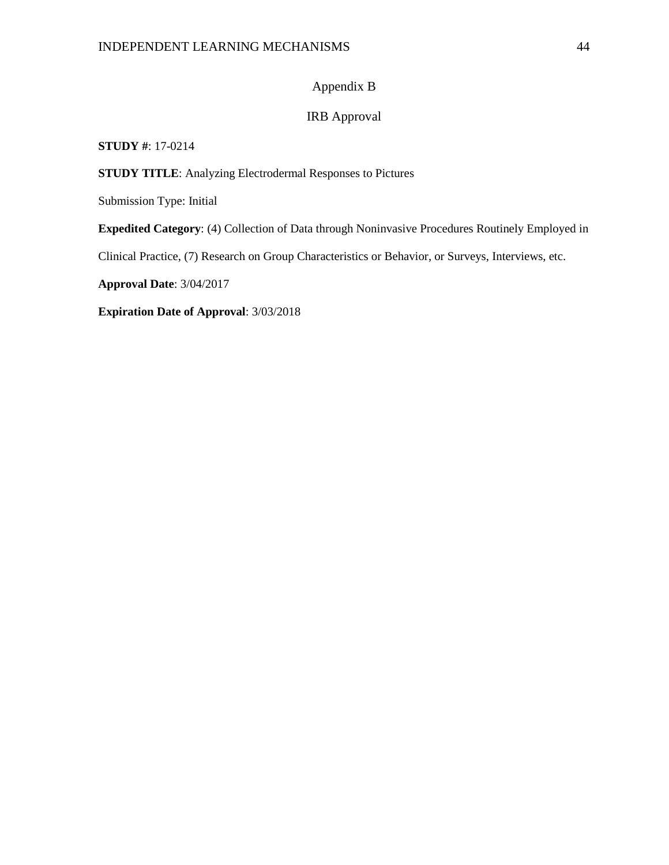### Appendix B

### IRB Approval

#### **STUDY #**: 17-0214

**STUDY TITLE**: Analyzing Electrodermal Responses to Pictures

Submission Type: Initial

**Expedited Category**: (4) Collection of Data through Noninvasive Procedures Routinely Employed in

Clinical Practice, (7) Research on Group Characteristics or Behavior, or Surveys, Interviews, etc.

**Approval Date**: 3/04/2017

**Expiration Date of Approval**: 3/03/2018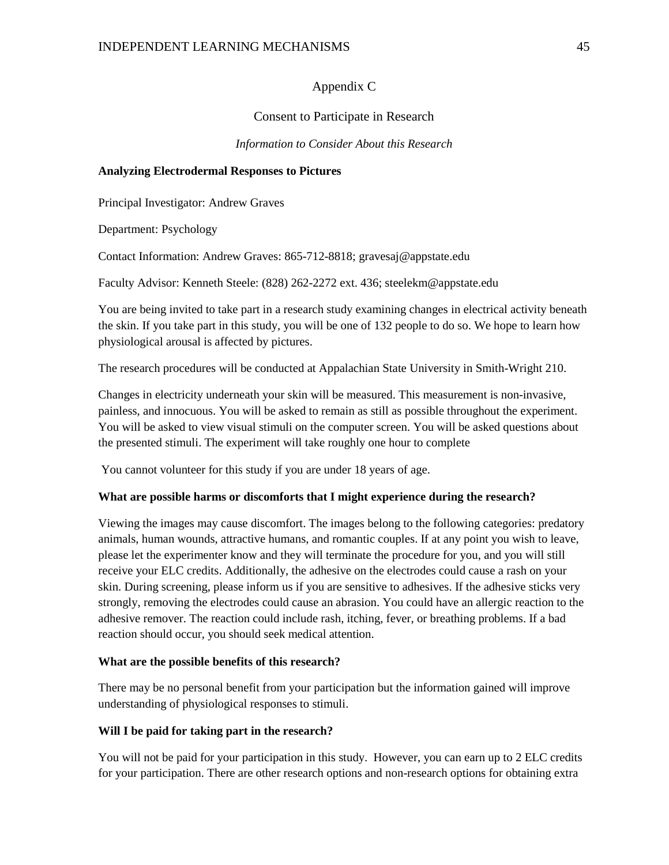#### Appendix C

#### Consent to Participate in Research

*Information to Consider About this Research*

#### **Analyzing Electrodermal Responses to Pictures**

Principal Investigator: Andrew Graves

Department: Psychology

Contact Information: Andrew Graves: 865-712-8818; gravesaj@appstate.edu

Faculty Advisor: Kenneth Steele: (828) 262-2272 ext. 436; steelekm@appstate.edu

You are being invited to take part in a research study examining changes in electrical activity beneath the skin. If you take part in this study, you will be one of 132 people to do so. We hope to learn how physiological arousal is affected by pictures.

The research procedures will be conducted at Appalachian State University in Smith-Wright 210.

Changes in electricity underneath your skin will be measured. This measurement is non-invasive, painless, and innocuous. You will be asked to remain as still as possible throughout the experiment. You will be asked to view visual stimuli on the computer screen. You will be asked questions about the presented stimuli. The experiment will take roughly one hour to complete

You cannot volunteer for this study if you are under 18 years of age.

#### **What are possible harms or discomforts that I might experience during the research?**

Viewing the images may cause discomfort. The images belong to the following categories: predatory animals, human wounds, attractive humans, and romantic couples. If at any point you wish to leave, please let the experimenter know and they will terminate the procedure for you, and you will still receive your ELC credits. Additionally, the adhesive on the electrodes could cause a rash on your skin. During screening, please inform us if you are sensitive to adhesives. If the adhesive sticks very strongly, removing the electrodes could cause an abrasion. You could have an allergic reaction to the adhesive remover. The reaction could include rash, itching, fever, or breathing problems. If a bad reaction should occur, you should seek medical attention.

#### **What are the possible benefits of this research?**

There may be no personal benefit from your participation but the information gained will improve understanding of physiological responses to stimuli.

#### **Will I be paid for taking part in the research?**

You will not be paid for your participation in this study. However, you can earn up to 2 ELC credits for your participation. There are other research options and non-research options for obtaining extra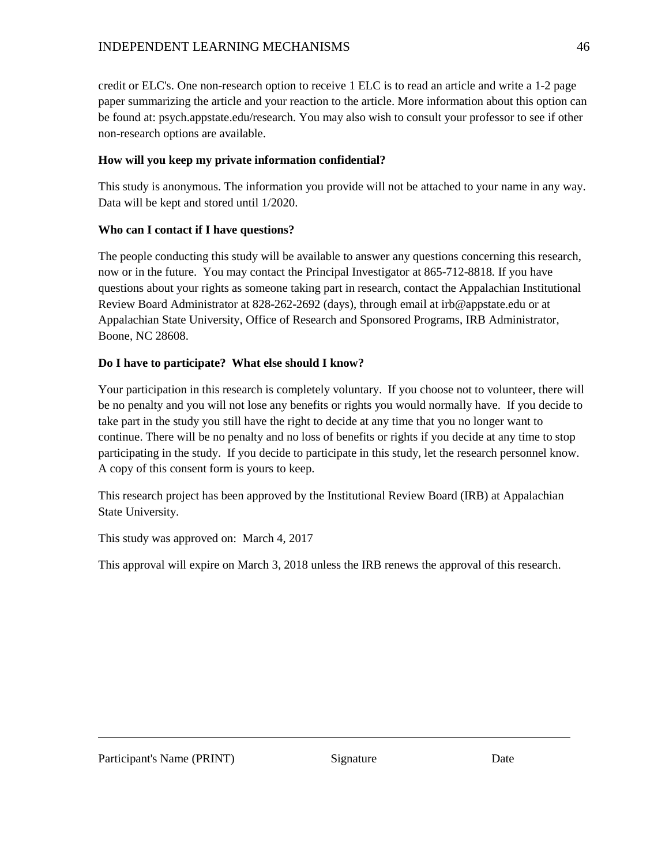credit or ELC's. One non-research option to receive 1 ELC is to read an article and write a 1-2 page paper summarizing the article and your reaction to the article. More information about this option can be found at: psych.appstate.edu/research. You may also wish to consult your professor to see if other non-research options are available.

### **How will you keep my private information confidential?**

This study is anonymous. The information you provide will not be attached to your name in any way. Data will be kept and stored until 1/2020.

### **Who can I contact if I have questions?**

The people conducting this study will be available to answer any questions concerning this research, now or in the future. You may contact the Principal Investigator at 865-712-8818*.* If you have questions about your rights as someone taking part in research, contact the Appalachian Institutional Review Board Administrator at 828-262-2692 (days), through email at irb@appstate.edu or at Appalachian State University, Office of Research and Sponsored Programs, IRB Administrator, Boone, NC 28608.

### **Do I have to participate? What else should I know?**

Your participation in this research is completely voluntary. If you choose not to volunteer, there will be no penalty and you will not lose any benefits or rights you would normally have. If you decide to take part in the study you still have the right to decide at any time that you no longer want to continue. There will be no penalty and no loss of benefits or rights if you decide at any time to stop participating in the study. If you decide to participate in this study, let the research personnel know. A copy of this consent form is yours to keep.

This research project has been approved by the Institutional Review Board (IRB) at Appalachian State University.

This study was approved on: March 4, 2017

This approval will expire on March 3, 2018 unless the IRB renews the approval of this research.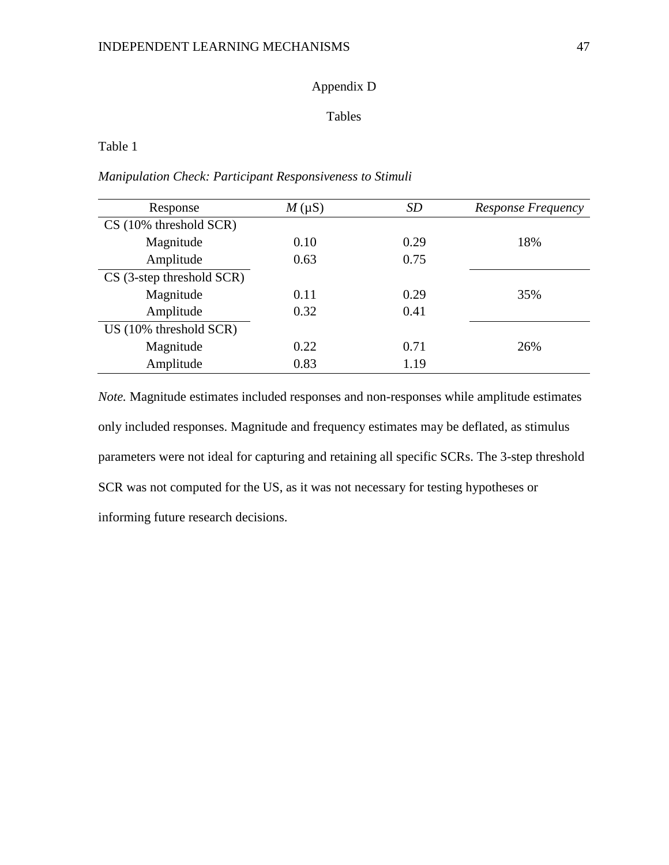### Appendix D

### Tables

### Table 1

### *Manipulation Check: Participant Responsiveness to Stimuli*

| Response                    | $M(\mu S)$ | SD   | Response Frequency |
|-----------------------------|------------|------|--------------------|
| $CS(10\%$ threshold $SCR$ ) |            |      |                    |
| Magnitude                   | 0.10       | 0.29 | 18%                |
| Amplitude                   | 0.63       | 0.75 |                    |
| $CS$ (3-step threshold SCR) |            |      |                    |
| Magnitude                   | 0.11       | 0.29 | 35%                |
| Amplitude                   | 0.32       | 0.41 |                    |
| US (10% threshold SCR)      |            |      |                    |
| Magnitude                   | 0.22       | 0.71 | 26%                |
| Amplitude                   | 0.83       | 1.19 |                    |

*Note.* Magnitude estimates included responses and non-responses while amplitude estimates only included responses. Magnitude and frequency estimates may be deflated, as stimulus parameters were not ideal for capturing and retaining all specific SCRs. The 3-step threshold SCR was not computed for the US, as it was not necessary for testing hypotheses or informing future research decisions.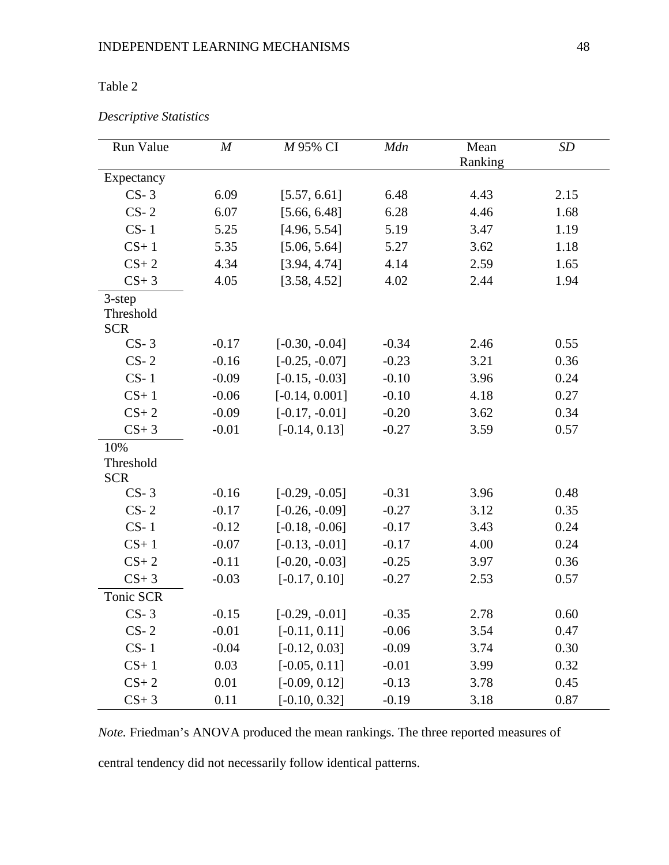# Table 2

### *Descriptive Statistics*

| Run Value                            | $\boldsymbol{M}$ | M 95% CI         | Mdn     | Mean    | SD   |
|--------------------------------------|------------------|------------------|---------|---------|------|
|                                      |                  |                  |         | Ranking |      |
| Expectancy                           |                  |                  |         |         |      |
| $CS-3$                               | 6.09             | [5.57, 6.61]     | 6.48    | 4.43    | 2.15 |
| $CS-2$                               | 6.07             | [5.66, 6.48]     | 6.28    | 4.46    | 1.68 |
| $CS-1$                               | 5.25             | [4.96, 5.54]     | 5.19    | 3.47    | 1.19 |
| $CS+1$                               | 5.35             | [5.06, 5.64]     | 5.27    | 3.62    | 1.18 |
| $CS+2$                               | 4.34             | [3.94, 4.74]     | 4.14    | 2.59    | 1.65 |
| $CS+3$                               | 4.05             | [3.58, 4.52]     | 4.02    | 2.44    | 1.94 |
| $3$ -step<br>Threshold<br><b>SCR</b> |                  |                  |         |         |      |
| $CS-3$                               | $-0.17$          | $[-0.30, -0.04]$ | $-0.34$ | 2.46    | 0.55 |
| $CS-2$                               | $-0.16$          | $[-0.25, -0.07]$ | $-0.23$ | 3.21    | 0.36 |
| $CS-1$                               | $-0.09$          | $[-0.15, -0.03]$ | $-0.10$ | 3.96    | 0.24 |
| $CS+1$                               | $-0.06$          | $[-0.14, 0.001]$ | $-0.10$ | 4.18    | 0.27 |
| $CS+2$                               | $-0.09$          | $[-0.17, -0.01]$ | $-0.20$ | 3.62    | 0.34 |
| $CS+3$                               | $-0.01$          | $[-0.14, 0.13]$  | $-0.27$ | 3.59    | 0.57 |
| 10%<br>Threshold<br><b>SCR</b>       |                  |                  |         |         |      |
| $CS-3$                               | $-0.16$          | $[-0.29, -0.05]$ | $-0.31$ | 3.96    | 0.48 |
| $CS-2$                               | $-0.17$          | $[-0.26, -0.09]$ | $-0.27$ | 3.12    | 0.35 |
| $CS-1$                               | $-0.12$          | $[-0.18, -0.06]$ | $-0.17$ | 3.43    | 0.24 |
| $CS+1$                               | $-0.07$          | $[-0.13, -0.01]$ | $-0.17$ | 4.00    | 0.24 |
| $CS+2$                               | $-0.11$          | $[-0.20, -0.03]$ | $-0.25$ | 3.97    | 0.36 |
| $CS+3$                               | $-0.03$          | $[-0.17, 0.10]$  | $-0.27$ | 2.53    | 0.57 |
| Tonic SCR                            |                  |                  |         |         |      |
| $CS-3$                               | $-0.15$          | $[-0.29, -0.01]$ | $-0.35$ | 2.78    | 0.60 |
| $CS-2$                               | $-0.01$          | $[-0.11, 0.11]$  | $-0.06$ | 3.54    | 0.47 |
| $CS-1$                               | $-0.04$          | $[-0.12, 0.03]$  | $-0.09$ | 3.74    | 0.30 |
| $CS+1$                               | 0.03             | $[-0.05, 0.11]$  | $-0.01$ | 3.99    | 0.32 |
| $CS+2$                               | 0.01             | $[-0.09, 0.12]$  | $-0.13$ | 3.78    | 0.45 |
| $CS+3$                               | 0.11             | $[-0.10, 0.32]$  | $-0.19$ | 3.18    | 0.87 |

*Note.* Friedman's ANOVA produced the mean rankings. The three reported measures of central tendency did not necessarily follow identical patterns.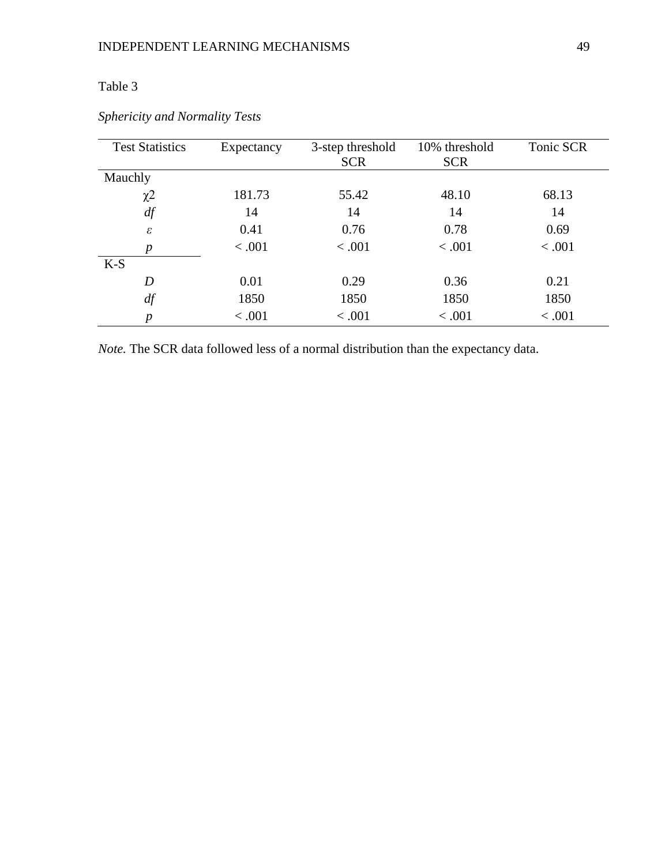# Table 3

| <b>Test Statistics</b> | Expectancy | 3-step threshold | 10% threshold | Tonic SCR |
|------------------------|------------|------------------|---------------|-----------|
|                        |            | <b>SCR</b>       | <b>SCR</b>    |           |
| Mauchly                |            |                  |               |           |
| $\chi$ <sup>2</sup>    | 181.73     | 55.42            | 48.10         | 68.13     |
| df                     | 14         | 14               | 14            | 14        |
| $\varepsilon$          | 0.41       | 0.76             | 0.78          | 0.69      |
| $\boldsymbol{p}$       | < .001     | < .001           | < .001        | < .001    |
| $K-S$                  |            |                  |               |           |
| D                      | 0.01       | 0.29             | 0.36          | 0.21      |
| df                     | 1850       | 1850             | 1850          | 1850      |
| р                      | < .001     | < 0.001          | < .001        | 0.001     |

*Sphericity and Normality Tests*

*Note.* The SCR data followed less of a normal distribution than the expectancy data.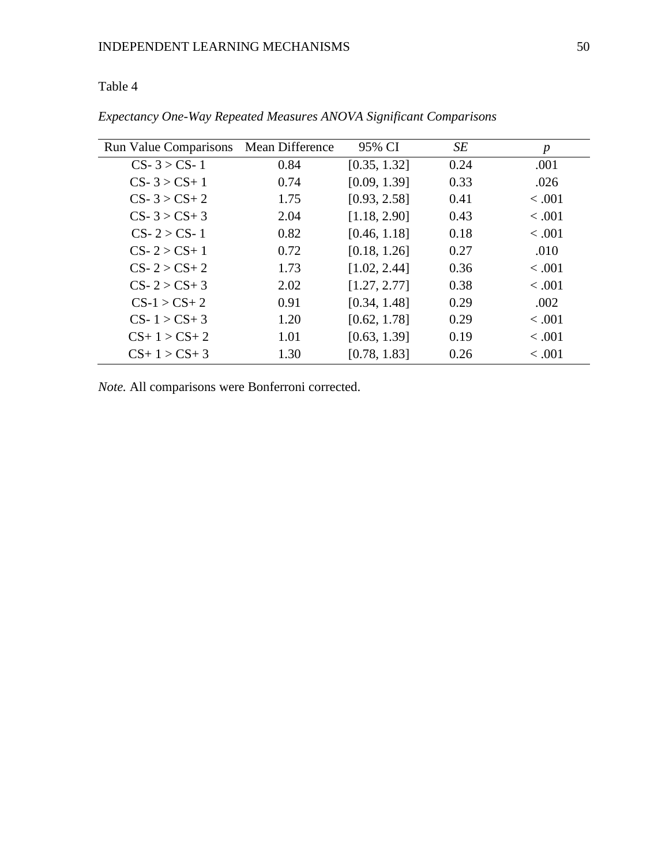### INDEPENDENT LEARNING MECHANISMS 50

# Table 4

| <b>Run Value Comparisons</b> | <b>Mean Difference</b> | 95% CI       | SE   | $\boldsymbol{p}$ |
|------------------------------|------------------------|--------------|------|------------------|
| $CS - 3 > CS - 1$            | 0.84                   | [0.35, 1.32] | 0.24 | .001             |
| $CS - 3 > CS + 1$            | 0.74                   | [0.09, 1.39] | 0.33 | .026             |
| $CS - 3 > CS + 2$            | 1.75                   | [0.93, 2.58] | 0.41 | < .001           |
| $CS - 3 > CS + 3$            | 2.04                   | [1.18, 2.90] | 0.43 | < .001           |
| $CS - 2 > CS - 1$            | 0.82                   | [0.46, 1.18] | 0.18 | < .001           |
| $CS - 2 > CS + 1$            | 0.72                   | [0.18, 1.26] | 0.27 | .010             |
| $CS - 2 > CS + 2$            | 1.73                   | [1.02, 2.44] | 0.36 | < 0.001          |
| $CS - 2 > CS + 3$            | 2.02                   | [1.27, 2.77] | 0.38 | < .001           |
| $CS-1 > CS+2$                | 0.91                   | [0.34, 1.48] | 0.29 | .002             |
| $CS-1 > CS+3$                | 1.20                   | [0.62, 1.78] | 0.29 | < 0.001          |
| $CS+1 > CS+2$                | 1.01                   | [0.63, 1.39] | 0.19 | < .001           |
| $CS+1 > CS+3$                | 1.30                   | [0.78, 1.83] | 0.26 | < .001           |

*Expectancy One-Way Repeated Measures ANOVA Significant Comparisons*

*Note.* All comparisons were Bonferroni corrected.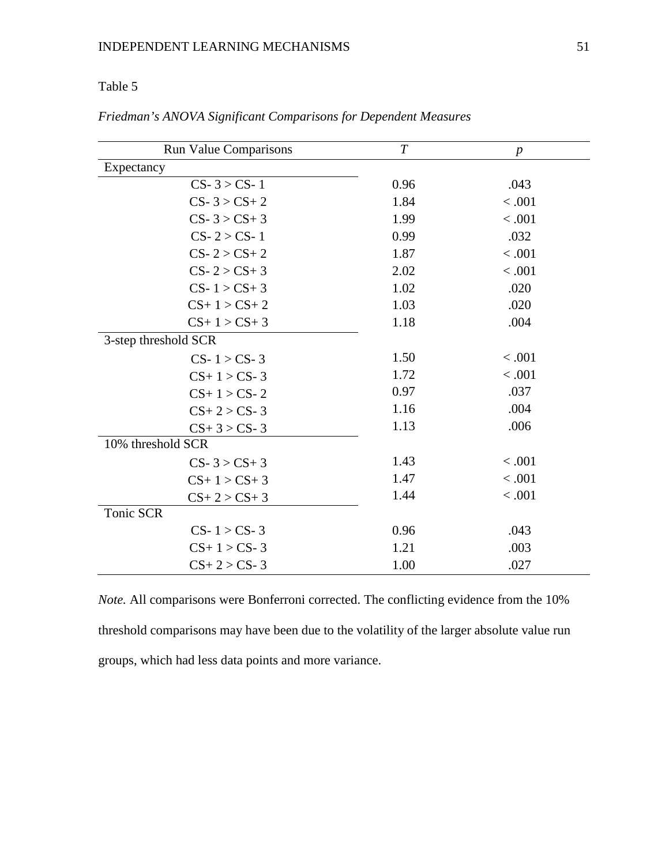# Table 5

| <b>Run Value Comparisons</b> | $\boldsymbol{T}$ | $\boldsymbol{p}$ |
|------------------------------|------------------|------------------|
| Expectancy                   |                  |                  |
| $CS - 3 > CS - 1$            | 0.96             | .043             |
| $CS - 3 > CS + 2$            | 1.84             | < .001           |
| $CS - 3 > CS + 3$            | 1.99             | < .001           |
| $CS - 2 > CS - 1$            | 0.99             | .032             |
| $CS - 2 > CS + 2$            | 1.87             | < .001           |
| $CS - 2 > CS + 3$            | 2.02             | < .001           |
| $CS-1 > CS+3$                | 1.02             | .020             |
| $CS+1 > CS+2$                | 1.03             | .020             |
| $CS+1 > CS+3$                | 1.18             | .004             |
| 3-step threshold SCR         |                  |                  |
| $CS-1 > CS-3$                | 1.50             | < .001           |
| $CS+1 > CS-3$                | 1.72             | < .001           |
| $CS+1 > CS-2$                | 0.97             | .037             |
| $CS + 2 > CS - 3$            | 1.16             | .004             |
| $CS+3 > CS-3$                | 1.13             | .006             |
| 10% threshold SCR            |                  |                  |
| $CS - 3 > CS + 3$            | 1.43             | < .001           |
| $CS+1 > CS+3$                | 1.47             | < .001           |
| $CS+2 > CS+3$                | 1.44             | < .001           |
| Tonic SCR                    |                  |                  |
| $CS-1 > CS-3$                | 0.96             | .043             |
| $CS+1 > CS-3$                | 1.21             | .003             |
| $CS + 2 > CS - 3$            | 1.00             | .027             |

*Friedman's ANOVA Significant Comparisons for Dependent Measures*

*Note.* All comparisons were Bonferroni corrected. The conflicting evidence from the 10% threshold comparisons may have been due to the volatility of the larger absolute value run groups, which had less data points and more variance.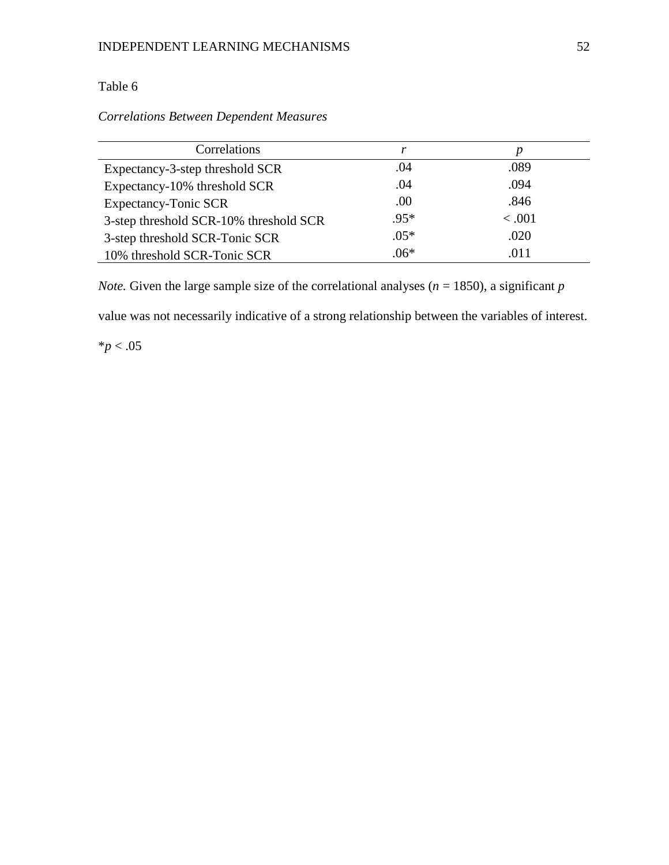# Table 6

# *Correlations Between Dependent Measures*

| Correlations                           |        | p      |
|----------------------------------------|--------|--------|
| Expectancy-3-step threshold SCR        | .04    | .089   |
| Expectancy-10% threshold SCR           | .04    | .094   |
| <b>Expectancy-Tonic SCR</b>            | .00    | .846   |
| 3-step threshold SCR-10% threshold SCR | $.95*$ | < .001 |
| 3-step threshold SCR-Tonic SCR         | $.05*$ | .020   |
| 10% threshold SCR-Tonic SCR            | $.06*$ | .011   |

*Note.* Given the large sample size of the correlational analyses ( $n = 1850$ ), a significant  $p$ 

value was not necessarily indicative of a strong relationship between the variables of interest.

 $*p < .05$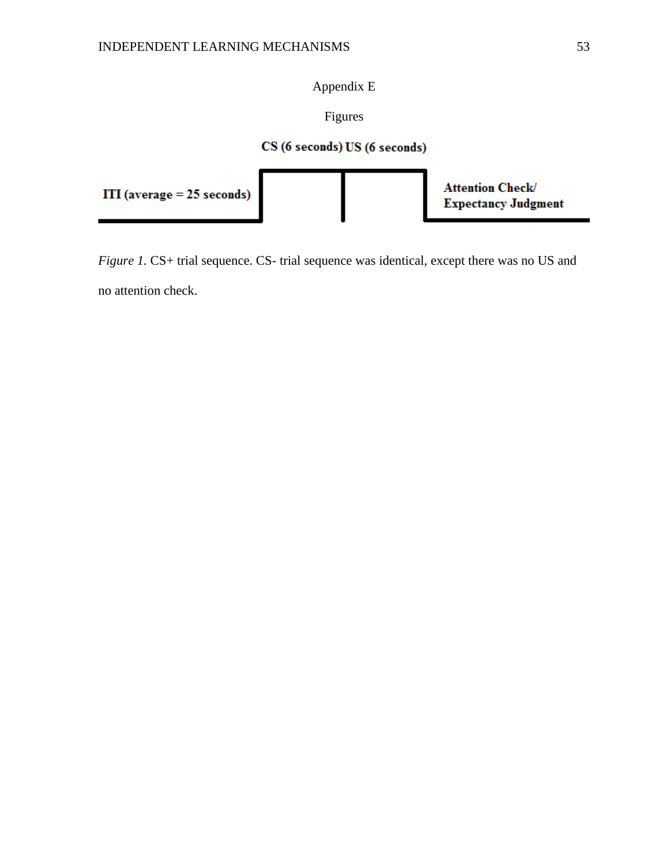Appendix E

Figures

# CS (6 seconds) US (6 seconds)



*Figure 1.* CS+ trial sequence. CS- trial sequence was identical, except there was no US and no attention check.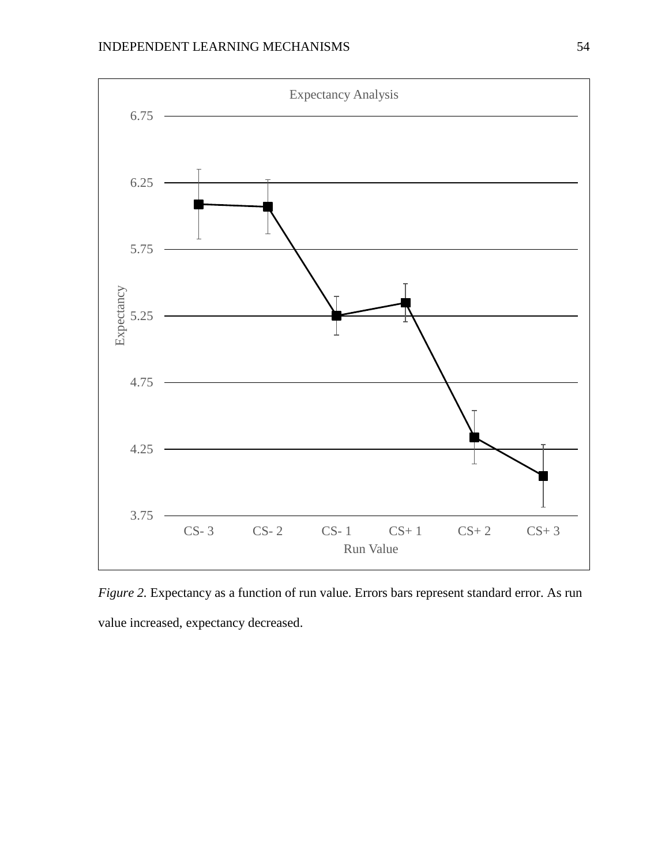

*Figure 2.* Expectancy as a function of run value. Errors bars represent standard error. As run value increased, expectancy decreased.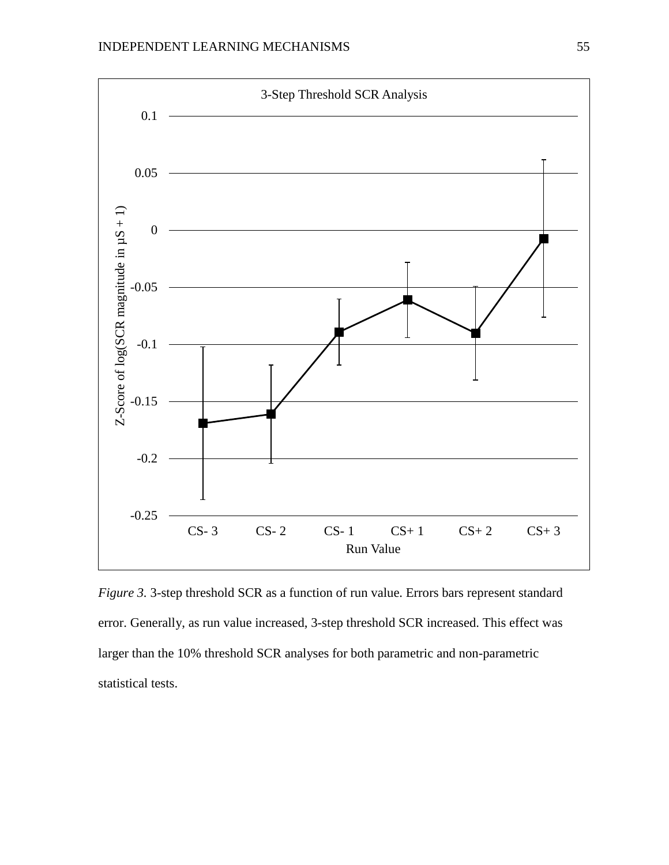

*Figure 3.* 3-step threshold SCR as a function of run value. Errors bars represent standard error. Generally, as run value increased, 3-step threshold SCR increased. This effect was larger than the 10% threshold SCR analyses for both parametric and non-parametric statistical tests.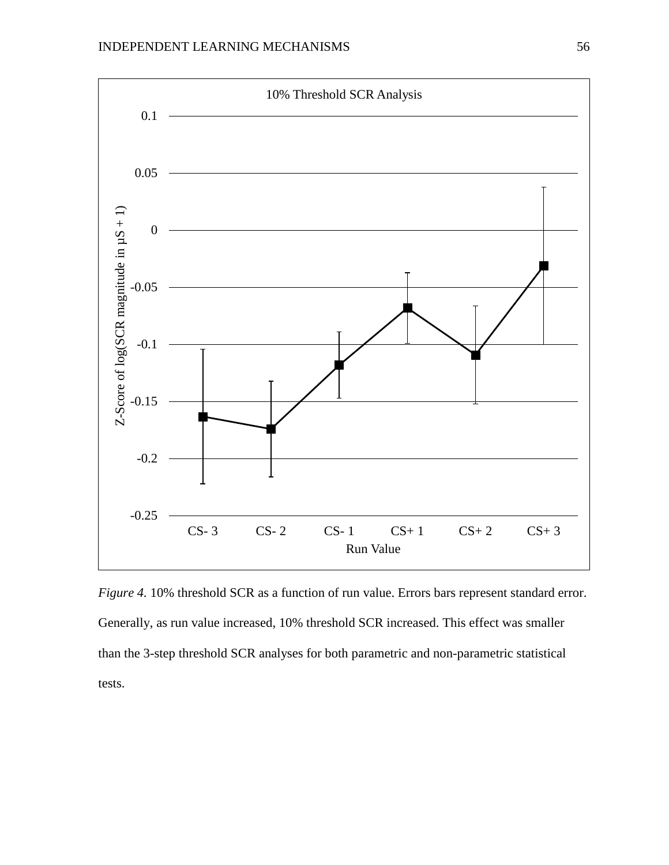

*Figure 4.* 10% threshold SCR as a function of run value. Errors bars represent standard error. Generally, as run value increased, 10% threshold SCR increased. This effect was smaller than the 3-step threshold SCR analyses for both parametric and non-parametric statistical tests.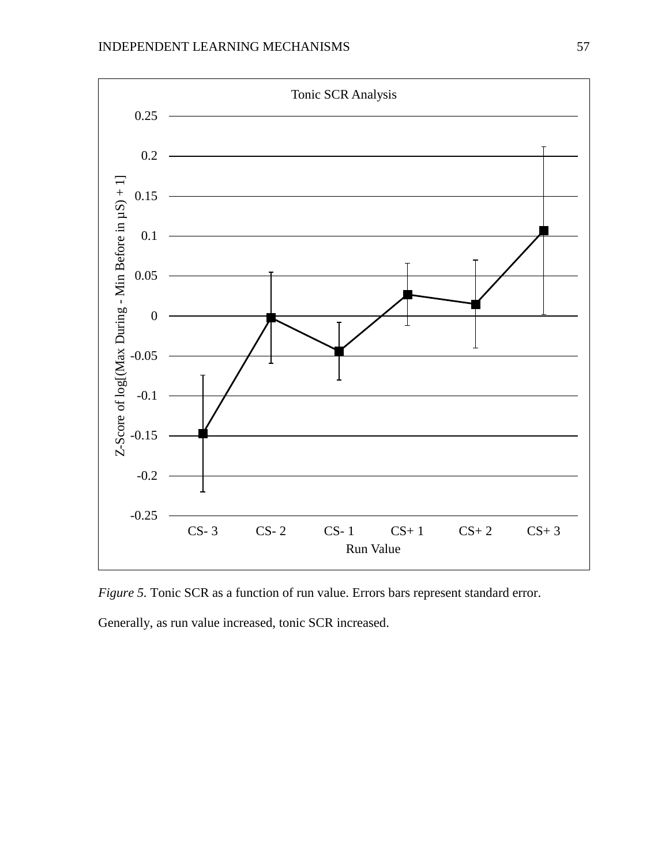

*Figure 5.* Tonic SCR as a function of run value. Errors bars represent standard error.

Generally, as run value increased, tonic SCR increased.